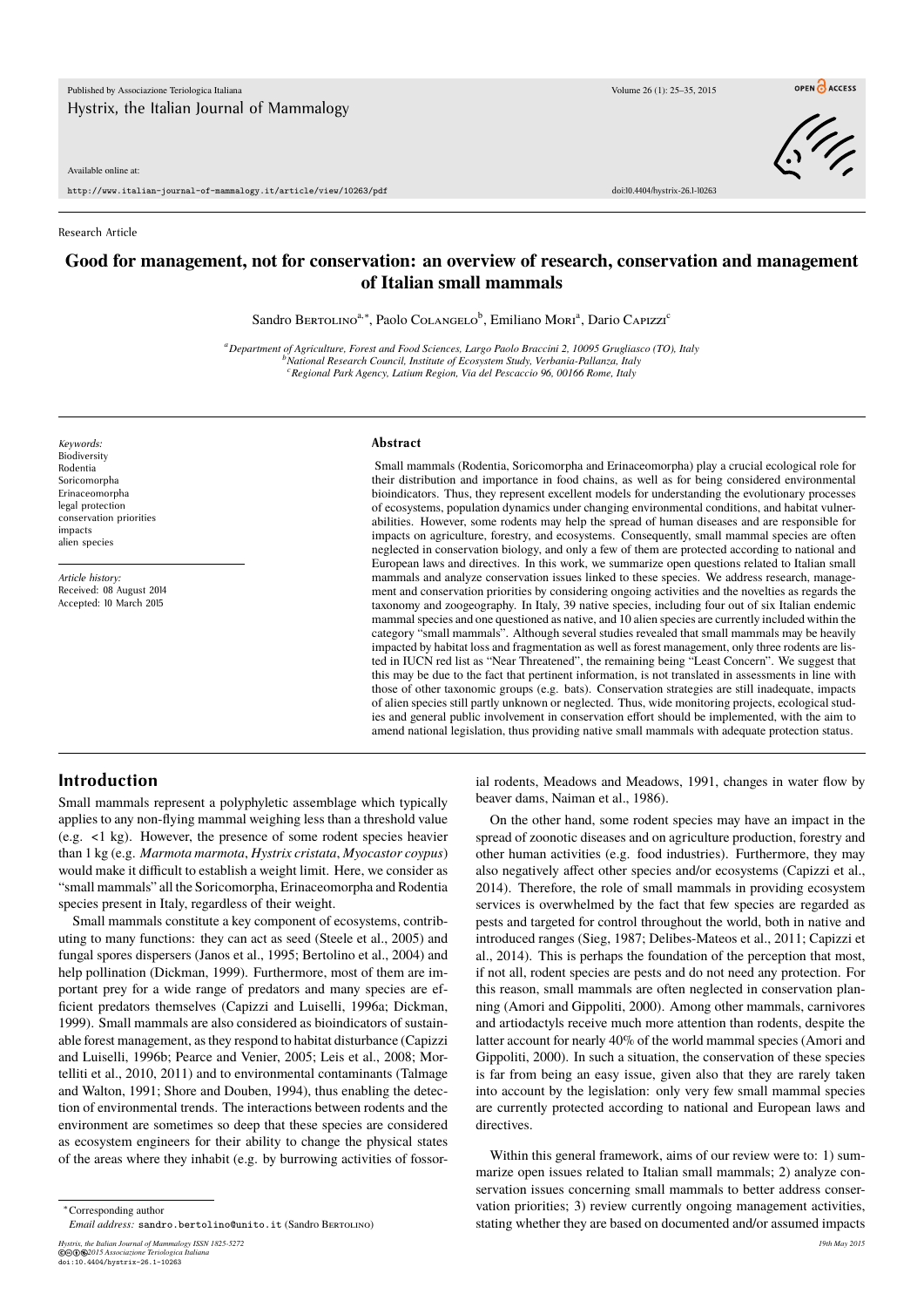Available online at:

http://www.italian-journal-of-mammalogy.it/article/view/10263/pdf doi:10.4404/hystrix-26.1-10263

Research Article

## **Good for management, not for conservation: an overview of research, conservation and management of Italian small mammals**

Sandro BERTOLINO<sup>a,\*</sup>, Paolo COLANGELO<sup>b</sup>, Emiliano Mori<sup>a</sup>, Dario CAPIzzi<sup>c</sup>

*<sup>a</sup>Department of Agriculture, Forest and Food Sciences, Largo Paolo Braccini 2, 10095 Grugliasco (TO), Italy <sup>b</sup>National Research Council, Institute of Ecosystem Study, Verbania-Pallanza, Italy <sup>c</sup>Regional Park Agency, Latium Region, Via del Pescaccio 96, 00166 Rome, Italy*

*Keywords:* Biodiversity Rodentia Soricomorpha Erinaceomorpha legal protection conservation priorities impacts alien species

*Article history:* Received: 08 August 2014 Accepted: 10 March 2015

#### **Abstract**

Small mammals (Rodentia, Soricomorpha and Erinaceomorpha) play a crucial ecological role for their distribution and importance in food chains, as well as for being considered environmental bioindicators. Thus, they represent excellent models for understanding the evolutionary processes of ecosystems, population dynamics under changing environmental conditions, and habitat vulnerabilities. However, some rodents may help the spread of human diseases and are responsible for impacts on agriculture, forestry, and ecosystems. Consequently, small mammal species are often neglected in conservation biology, and only a few of them are protected according to national and European laws and directives. In this work, we summarize open questions related to Italian small mammals and analyze conservation issues linked to these species. We address research, management and conservation priorities by considering ongoing activities and the novelties as regards the taxonomy and zoogeography. In Italy, 39 native species, including four out of six Italian endemic mammal species and one questioned as native, and 10 alien species are currently included within the category "small mammals". Although several studies revealed that small mammals may be heavily impacted by habitat loss and fragmentation as well as forest management, only three rodents are listed in IUCN red list as "Near Threatened", the remaining being "Least Concern". We suggest that this may be due to the fact that pertinent information, is not translated in assessments in line with those of other taxonomic groups (e.g. bats). Conservation strategies are still inadequate, impacts of alien species still partly unknown or neglected. Thus, wide monitoring projects, ecological studies and general public involvement in conservation effort should be implemented, with the aim to amend national legislation, thus providing native small mammals with adequate protection status.

## **Introduction**

Small mammals represent a polyphyletic assemblage which typically applies to any non-flying mammal weighing less than a threshold value (e.g. <1 kg). However, the presence of some rodent species heavier than 1 kg (e.g. *Marmota marmota*, *Hystrix cristata*, *Myocastor coypus*) would make it difficult to establish a weight limit. Here, we consider as "small mammals" all the Soricomorpha, Erinaceomorpha and Rodentia species present in Italy, regardless of their weight.

Small mammals constitute a key component of ecosystems, contributing to many functions: they can act as seed (Steele et al., 2005) and fungal spores dispersers (Janos et al., 1995; Bertolino et al., 2004) and help pollination (Dickman, 1999). Furthermore, most of them are important prey for a wide range of predators and many species are efficient predators themselves (Capizzi and Luiselli, 1996a; Dickman, 1999). Small mammals are also considered as bioindicators of sustainable forest management, as they respond to habitat disturbance (Capizzi and Luiselli, 1996b; Pearce and Venier, 2005; Leis et al., 2008; Mortelliti et al., 2010, 2011) and to environmental contaminants (Talmage and Walton, 1991; Shore and Douben, 1994), thus enabling the detection of environmental trends. The interactions between rodents and the environment are sometimes so deep that these species are considered as ecosystem engineers for their ability to change the physical states of the areas where they inhabit (e.g. by burrowing activities of fossor-

*Hystrix, the Italian Journal of Mammalogy ISSN 1825-5272 19th May 2015* ©cbe*2015 Associazione Teriologica Italiana* doi:10.4404/hystrix-26.1-10263

ial rodents, Meadows and Meadows, 1991, changes in water flow by beaver dams, Naiman et al., 1986).

On the other hand, some rodent species may have an impact in the spread of zoonotic diseases and on agriculture production, forestry and other human activities (e.g. food industries). Furthermore, they may also negatively affect other species and/or ecosystems (Capizzi et al., 2014). Therefore, the role of small mammals in providing ecosystem services is overwhelmed by the fact that few species are regarded as pests and targeted for control throughout the world, both in native and introduced ranges (Sieg, 1987; Delibes-Mateos et al., 2011; Capizzi et al., 2014). This is perhaps the foundation of the perception that most, if not all, rodent species are pests and do not need any protection. For this reason, small mammals are often neglected in conservation planning (Amori and Gippoliti, 2000). Among other mammals, carnivores and artiodactyls receive much more attention than rodents, despite the latter account for nearly 40% of the world mammal species (Amori and Gippoliti, 2000). In such a situation, the conservation of these species is far from being an easy issue, given also that they are rarely taken into account by the legislation: only very few small mammal species are currently protected according to national and European laws and directives.

Within this general framework, aims of our review were to: 1) summarize open issues related to Italian small mammals; 2) analyze conservation issues concerning small mammals to better address conservation priorities; 3) review currently ongoing management activities, stating whether they are based on documented and/or assumed impacts

OPEN CACCESS

<sup>∗</sup>Corresponding author

*Email address:* sandro.bertolino@unito.it (Sandro Bertolino)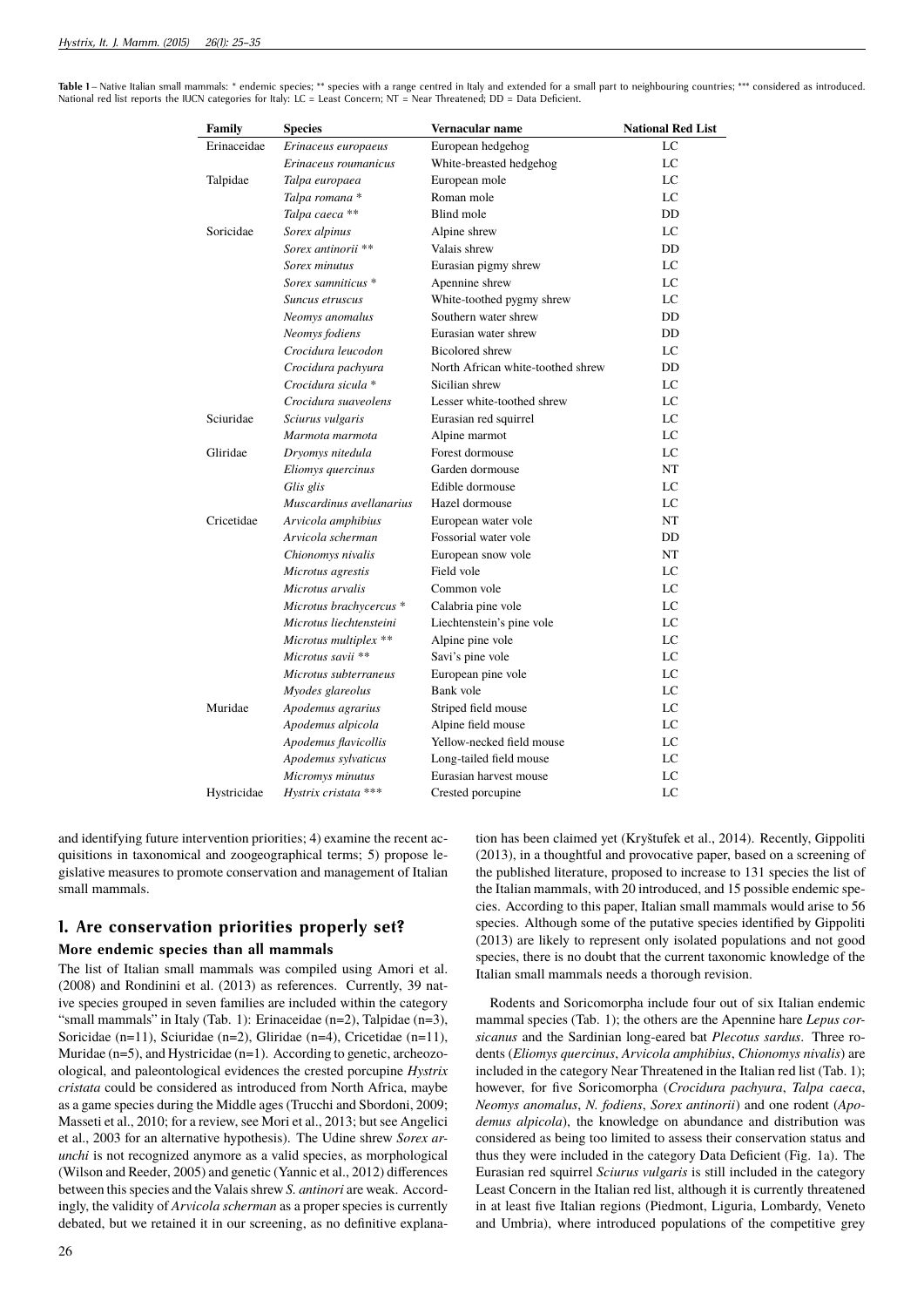Table 1 – Native Italian small mammals: \* endemic species; \*\* species with a range centred in Italy and extended for a small part to neighbouring countries; \*\*\* considered as introduced. National red list reports the IUCN categories for Italy: LC = Least Concern; NT = Near Threatened; DD = Data Deficient.

| Family      | <b>Species</b>           | Vernacular name                   | <b>National Red List</b> |
|-------------|--------------------------|-----------------------------------|--------------------------|
| Erinaceidae | Erinaceus europaeus      | European hedgehog                 | LC                       |
|             | Erinaceus roumanicus     | White-breasted hedgehog           | LC                       |
| Talpidae    | Talpa europaea           | European mole                     | LC                       |
|             | Talpa romana*            | Roman mole                        | LC                       |
|             | Talpa caeca **           | Blind mole                        | DD                       |
| Soricidae   | Sorex alpinus            | Alpine shrew                      | LC                       |
|             | Sorex antinorii **       | Valais shrew                      | <b>DD</b>                |
|             | Sorex minutus            | Eurasian pigmy shrew              | LC                       |
|             | Sorex samniticus *       | Apennine shrew                    | LC                       |
|             | Suncus etruscus          | White-toothed pygmy shrew         | LC                       |
|             | Neomys anomalus          | Southern water shrew              | DD                       |
|             | Neomys fodiens           | Eurasian water shrew              | DD                       |
|             | Crocidura leucodon       | <b>Bicolored</b> shrew            | LC                       |
|             | Crocidura pachyura       | North African white-toothed shrew | DD                       |
|             | Crocidura sicula *       | Sicilian shrew                    | LC                       |
|             | Crocidura suaveolens     | Lesser white-toothed shrew        | LC                       |
| Sciuridae   | Sciurus vulgaris         | Eurasian red squirrel             | LC                       |
|             | Marmota marmota          | Alpine marmot                     | LC                       |
| Gliridae    | Dryomys nitedula         | Forest dormouse                   | LC                       |
|             | Eliomys quercinus        | Garden dormouse                   | NT                       |
|             | Glis glis                | Edible dormouse                   | LC                       |
|             | Muscardinus avellanarius | Hazel dormouse                    | LC                       |
| Cricetidae  | Arvicola amphibius       | European water vole               | NT                       |
|             | Arvicola scherman        | Fossorial water vole              | DD                       |
|             | Chionomys nivalis        | European snow vole                | NT                       |
|             | Microtus agrestis        | Field vole                        | LC                       |
|             | Microtus arvalis         | Common vole                       | LC                       |
|             | Microtus brachycercus *  | Calabria pine vole                | LC                       |
|             | Microtus liechtensteini  | Liechtenstein's pine vole         | LC                       |
|             | Microtus multiplex **    | Alpine pine vole                  | LC                       |
|             | Microtus savii **        | Savi's pine vole                  | LC                       |
|             | Microtus subterraneus    | European pine vole                | LC                       |
|             | Myodes glareolus         | Bank vole                         | LC                       |
| Muridae     | Apodemus agrarius        | Striped field mouse               | LC                       |
|             | Apodemus alpicola        | Alpine field mouse                | LC                       |
|             | Apodemus flavicollis     | Yellow-necked field mouse         | LC                       |
|             | Apodemus sylvaticus      | Long-tailed field mouse           | LC                       |
|             | Micromys minutus         | Eurasian harvest mouse            | LC                       |
| Hystricidae | Hystrix cristata ***     | Crested porcupine                 | LC                       |
|             |                          |                                   |                          |

and identifying future intervention priorities; 4) examine the recent acquisitions in taxonomical and zoogeographical terms; 5) propose legislative measures to promote conservation and management of Italian small mammals.

# **1. Are conservation priorities properly set?**

## **More endemic species than all mammals**

The list of Italian small mammals was compiled using Amori et al. (2008) and Rondinini et al. (2013) as references. Currently, 39 native species grouped in seven families are included within the category "small mammals" in Italy (Tab. 1): Erinaceidae (n=2), Talpidae (n=3), Soricidae (n=11), Sciuridae (n=2), Gliridae (n=4), Cricetidae (n=11), Muridae (n=5), and Hystricidae (n=1). According to genetic, archeozoological, and paleontological evidences the crested porcupine *Hystrix cristata* could be considered as introduced from North Africa, maybe as a game species during the Middle ages (Trucchi and Sbordoni, 2009; Masseti et al., 2010; for a review, see Mori et al., 2013; but see Angelici et al., 2003 for an alternative hypothesis). The Udine shrew *Sorex arunchi* is not recognized anymore as a valid species, as morphological (Wilson and Reeder, 2005) and genetic (Yannic et al., 2012) differences between this species and the Valais shrew *S. antinori* are weak. Accordingly, the validity of *Arvicola scherman* as a proper species is currently debated, but we retained it in our screening, as no definitive explanation has been claimed yet (Kryštufek et al., 2014). Recently, Gippoliti (2013), in a thoughtful and provocative paper, based on a screening of the published literature, proposed to increase to 131 species the list of the Italian mammals, with 20 introduced, and 15 possible endemic species. According to this paper, Italian small mammals would arise to 56 species. Although some of the putative species identified by Gippoliti (2013) are likely to represent only isolated populations and not good species, there is no doubt that the current taxonomic knowledge of the Italian small mammals needs a thorough revision.

Rodents and Soricomorpha include four out of six Italian endemic mammal species (Tab. 1); the others are the Apennine hare *Lepus corsicanus* and the Sardinian long-eared bat *Plecotus sardus*. Three rodents (*Eliomys quercinus*, *Arvicola amphibius*, *Chionomys nivalis*) are included in the category Near Threatened in the Italian red list (Tab. 1); however, for five Soricomorpha (*Crocidura pachyura*, *Talpa caeca*, *Neomys anomalus*, *N. fodiens*, *Sorex antinorii*) and one rodent (*Apodemus alpicola*), the knowledge on abundance and distribution was considered as being too limited to assess their conservation status and thus they were included in the category Data Deficient (Fig. 1a). The Eurasian red squirrel *Sciurus vulgaris* is still included in the category Least Concern in the Italian red list, although it is currently threatened in at least five Italian regions (Piedmont, Liguria, Lombardy, Veneto and Umbria), where introduced populations of the competitive grey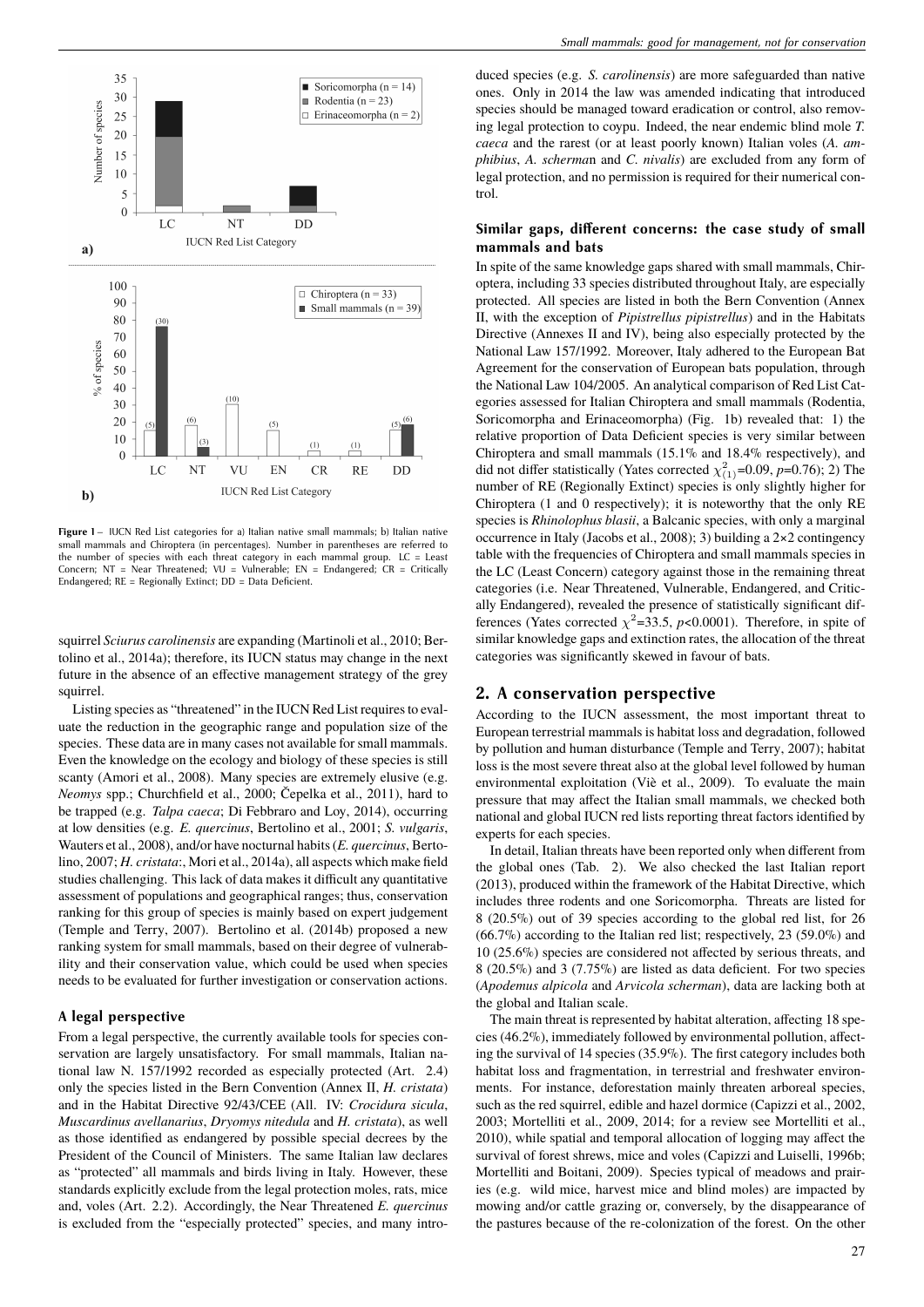

Figure 1 – IUCN Red List categories for a) Italian native small mammals; b) Italian native small mammals and Chiroptera (in percentages). Number in parentheses are referred to the number of species with each threat category in each mammal group. LC = Least Concern; NT = Near Threatened; VU = Vulnerable; EN = Endangered; CR = Critically Endangered; RE = Regionally Extinct; DD = Data Deficient.

squirrel *Sciurus carolinensis* are expanding (Martinoli et al., 2010; Bertolino et al., 2014a); therefore, its IUCN status may change in the next future in the absence of an effective management strategy of the grey squirrel.

Listing species as "threatened" in the IUCN Red List requires to evaluate the reduction in the geographic range and population size of the species. These data are in many cases not available for small mammals. Even the knowledge on the ecology and biology of these species is still scanty (Amori et al., 2008). Many species are extremely elusive (e.g. *Neomys* spp.; Churchfield et al., 2000; Čepelka et al., 2011), hard to be trapped (e.g. *Talpa caeca*; Di Febbraro and Loy, 2014), occurring at low densities (e.g. *E. quercinus*, Bertolino et al., 2001; *S. vulgaris*, Wauters et al., 2008), and/or have nocturnal habits (*E. quercinus*, Bertolino, 2007; *H. cristata*:, Mori et al., 2014a), all aspects which make field studies challenging. This lack of data makes it difficult any quantitative assessment of populations and geographical ranges; thus, conservation ranking for this group of species is mainly based on expert judgement (Temple and Terry, 2007). Bertolino et al. (2014b) proposed a new ranking system for small mammals, based on their degree of vulnerability and their conservation value, which could be used when species needs to be evaluated for further investigation or conservation actions.

#### **A legal perspective**

From a legal perspective, the currently available tools for species conservation are largely unsatisfactory. For small mammals, Italian national law N. 157/1992 recorded as especially protected (Art. 2.4) only the species listed in the Bern Convention (Annex II, *H. cristata*) and in the Habitat Directive 92/43/CEE (All. IV: *Crocidura sicula*, *Muscardinus avellanarius*, *Dryomys nitedula* and *H. cristata*), as well as those identified as endangered by possible special decrees by the President of the Council of Ministers. The same Italian law declares as "protected" all mammals and birds living in Italy. However, these standards explicitly exclude from the legal protection moles, rats, mice and, voles (Art. 2.2). Accordingly, the Near Threatened *E. quercinus* is excluded from the "especially protected" species, and many introduced species (e.g. *S. carolinensis*) are more safeguarded than native ones. Only in 2014 the law was amended indicating that introduced species should be managed toward eradication or control, also removing legal protection to coypu. Indeed, the near endemic blind mole *T. caeca* and the rarest (or at least poorly known) Italian voles (*A. amphibius*, *A. scherma*n and *C. nivalis*) are excluded from any form of legal protection, and no permission is required for their numerical control.

## Similar gaps, different concerns: the case study of small **mammals and bats**

In spite of the same knowledge gaps shared with small mammals, Chiroptera, including 33 species distributed throughout Italy, are especially protected. All species are listed in both the Bern Convention (Annex II, with the exception of *Pipistrellus pipistrellus*) and in the Habitats Directive (Annexes II and IV), being also especially protected by the National Law 157/1992. Moreover, Italy adhered to the European Bat Agreement for the conservation of European bats population, through the National Law 104/2005. An analytical comparison of Red List Categories assessed for Italian Chiroptera and small mammals (Rodentia, Soricomorpha and Erinaceomorpha) (Fig. 1b) revealed that: 1) the relative proportion of Data Deficient species is very similar between Chiroptera and small mammals (15.1% and 18.4% respectively), and did not differ statistically (Yates corrected  $\chi^2_{(1)}$ =0.09, *p*=0.76); 2) The number of RE (Regionally Extinct) species is only slightly higher for Chiroptera (1 and 0 respectively); it is noteworthy that the only RE species is *Rhinolophus blasii*, a Balcanic species, with only a marginal occurrence in Italy (Jacobs et al., 2008); 3) building a 2×2 contingency table with the frequencies of Chiroptera and small mammals species in the LC (Least Concern) category against those in the remaining threat categories (i.e. Near Threatened, Vulnerable, Endangered, and Critically Endangered), revealed the presence of statistically significant differences (Yates corrected  $\chi^2$ =33.5, *p*<0.0001). Therefore, in spite of similar knowledge gaps and extinction rates, the allocation of the threat categories was significantly skewed in favour of bats.

## **2. A conservation perspective**

According to the IUCN assessment, the most important threat to European terrestrial mammals is habitat loss and degradation, followed by pollution and human disturbance (Temple and Terry, 2007); habitat loss is the most severe threat also at the global level followed by human environmental exploitation (Viè et al., 2009). To evaluate the main pressure that may affect the Italian small mammals, we checked both national and global IUCN red lists reporting threat factors identified by experts for each species.

In detail, Italian threats have been reported only when different from the global ones (Tab. 2). We also checked the last Italian report (2013), produced within the framework of the Habitat Directive, which includes three rodents and one Soricomorpha. Threats are listed for 8 (20.5%) out of 39 species according to the global red list, for 26 (66.7%) according to the Italian red list; respectively, 23 (59.0%) and 10 (25.6%) species are considered not affected by serious threats, and 8 (20.5%) and 3 (7.75%) are listed as data deficient. For two species (*Apodemus alpicola* and *Arvicola scherman*), data are lacking both at the global and Italian scale.

The main threat is represented by habitat alteration, affecting 18 species (46.2%), immediately followed by environmental pollution, affecting the survival of 14 species (35.9%). The first category includes both habitat loss and fragmentation, in terrestrial and freshwater environments. For instance, deforestation mainly threaten arboreal species, such as the red squirrel, edible and hazel dormice (Capizzi et al., 2002, 2003; Mortelliti et al., 2009, 2014; for a review see Mortelliti et al., 2010), while spatial and temporal allocation of logging may affect the survival of forest shrews, mice and voles (Capizzi and Luiselli, 1996b; Mortelliti and Boitani, 2009). Species typical of meadows and prairies (e.g. wild mice, harvest mice and blind moles) are impacted by mowing and/or cattle grazing or, conversely, by the disappearance of the pastures because of the re-colonization of the forest. On the other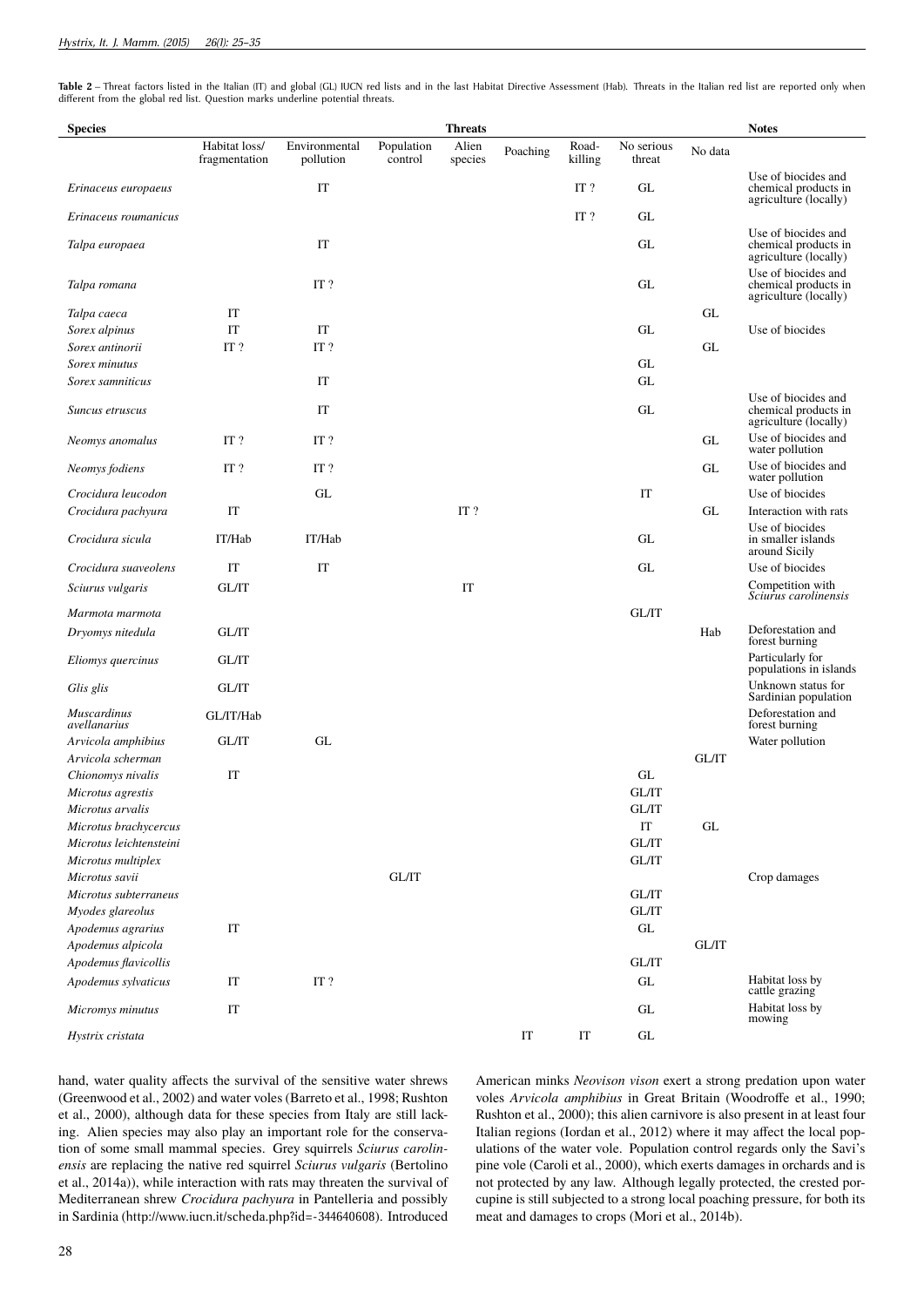Table 2 – Threat factors listed in the Italian (IT) and global (GL) IUCN red lists and in the last Habitat Directive Assessment (Hab). Threats in the Italian red list are reported only when different from the global red list. Question marks underline potential threats.

| <b>Species</b>                                |                                |                            |                       | <b>Threats</b>   |                     |                     |                      |              | <b>Notes</b>                                                         |
|-----------------------------------------------|--------------------------------|----------------------------|-----------------------|------------------|---------------------|---------------------|----------------------|--------------|----------------------------------------------------------------------|
|                                               | Habitat loss/<br>fragmentation | Environmental<br>pollution | Population<br>control | Alien<br>species | Poaching            | Road-<br>killing    | No serious<br>threat | No data      |                                                                      |
| Erinaceus europaeus                           |                                | IT                         |                       |                  |                     | IT?                 | GL                   |              | Use of biocides and<br>chemical products in<br>agriculture (locally) |
| Erinaceus roumanicus                          |                                |                            |                       |                  |                     | IT?                 | GL                   |              |                                                                      |
| Talpa europaea                                |                                | IT                         |                       |                  |                     |                     | GL                   |              | Use of biocides and<br>chemical products in<br>agriculture (locally) |
| Talpa romana                                  |                                | IT?                        |                       |                  |                     |                     | GL                   |              | Use of biocides and<br>chemical products in<br>agriculture (locally) |
| Talpa caeca                                   | IT                             |                            |                       |                  |                     |                     |                      | GL           |                                                                      |
| Sorex alpinus                                 | IT                             | IT                         |                       |                  |                     |                     | GL                   |              | Use of biocides                                                      |
| Sorex antinorii                               | IT?                            | IT?                        |                       |                  |                     |                     |                      | GL           |                                                                      |
| Sorex minutus                                 |                                |                            |                       |                  |                     |                     | GL                   |              |                                                                      |
| Sorex samniticus                              |                                | IT                         |                       |                  |                     |                     | GL                   |              |                                                                      |
| Suncus etruscus                               |                                | IT                         |                       |                  |                     |                     | GL                   |              | Use of biocides and<br>chemical products in<br>agriculture (locally) |
| Neomys anomalus                               | IT?                            | IT?                        |                       |                  |                     |                     |                      | GL           | Use of biocides and<br>water pollution                               |
| Neomys fodiens                                | IT?                            | IT?                        |                       |                  |                     |                     |                      | GL           | Use of biocides and<br>water pollution                               |
| Crocidura leucodon                            |                                | GL                         |                       |                  |                     |                     | IT                   |              | Use of biocides                                                      |
| Crocidura pachyura                            | IT                             |                            |                       | $IT$ ?           |                     |                     |                      | GL           | Interaction with rats                                                |
| Crocidura sicula                              | IT/Hab                         | IT/Hab                     |                       |                  |                     |                     | GL                   |              | Use of biocides<br>in smaller islands<br>around Sicily               |
| Crocidura suaveolens                          | IT                             | IT                         |                       |                  |                     |                     | GL                   |              | Use of biocides                                                      |
| Sciurus vulgaris                              | GL/IT                          |                            |                       | IT               |                     |                     |                      |              | Competition with<br>Sciurus carolinensis                             |
| Marmota marmota                               |                                |                            |                       |                  |                     |                     | GL/IT                |              |                                                                      |
| Dryomys nitedula                              | GL/IT                          |                            |                       |                  |                     |                     |                      | Hab          | Deforestation and<br>forest burning                                  |
| Eliomys quercinus                             | GL/IT                          |                            |                       |                  |                     |                     |                      |              | Particularly for<br>populations in islands                           |
| Glis glis                                     | GL/IT                          |                            |                       |                  |                     |                     |                      |              | Unknown status for<br>Sardinian population                           |
| <b>Muscardinus</b><br>avellanarius            | GL/IT/Hab                      |                            |                       |                  |                     |                     |                      |              | Deforestation and<br>forest burning                                  |
| Arvicola amphibius                            | GL/IT                          | GL                         |                       |                  |                     |                     |                      |              | Water pollution                                                      |
| Arvicola scherman                             |                                |                            |                       |                  |                     |                     |                      | <b>GL/IT</b> |                                                                      |
| Chionomys nivalis                             | IT                             |                            |                       |                  |                     |                     | GL                   |              |                                                                      |
| Microtus agrestis                             |                                |                            |                       |                  |                     |                     | $\operatorname{GL}$  |              |                                                                      |
| Microtus arvalis                              |                                |                            |                       |                  |                     |                     | GL/IT                |              |                                                                      |
| Microtus brachycercus                         |                                |                            |                       |                  |                     |                     | $\operatorname{IT}$  | GL           |                                                                      |
| Microtus leichtensteini<br>Microtus multiplex |                                |                            |                       |                  |                     |                     | GL/IT<br>GL/IT       |              |                                                                      |
| Microtus savii                                |                                |                            | GL/IT                 |                  |                     |                     |                      |              | Crop damages                                                         |
| Microtus subterraneus                         |                                |                            |                       |                  |                     |                     | GL/IT                |              |                                                                      |
| Myodes glareolus                              |                                |                            |                       |                  |                     |                     | GL/IT                |              |                                                                      |
| Apodemus agrarius                             | IT                             |                            |                       |                  |                     |                     | GL                   |              |                                                                      |
| Apodemus alpicola                             |                                |                            |                       |                  |                     |                     |                      | GL/IT        |                                                                      |
| Apodemus flavicollis                          |                                |                            |                       |                  |                     |                     | GL/IT                |              |                                                                      |
| Apodemus sylvaticus                           | IT                             | IT?                        |                       |                  |                     |                     | $\operatorname{GL}$  |              | Habitat loss by<br>cattle grazing                                    |
| Micromys minutus                              | IT                             |                            |                       |                  |                     |                     | GL                   |              | Habitat loss by<br>mowing                                            |
| Hystrix cristata                              |                                |                            |                       |                  | $\operatorname{IT}$ | $\operatorname{IT}$ | $\operatorname{GL}$  |              |                                                                      |

hand, water quality affects the survival of the sensitive water shrews (Greenwood et al., 2002) and water voles (Barreto et al., 1998; Rushton et al., 2000), although data for these species from Italy are still lacking. Alien species may also play an important role for the conservation of some small mammal species. Grey squirrels *Sciurus carolinensis* are replacing the native red squirrel *Sciurus vulgaris* (Bertolino et al., 2014a)), while interaction with rats may threaten the survival of Mediterranean shrew *Crocidura pachyura* in Pantelleria and possibly in Sardinia (http://www.iucn.it/scheda.php?id=-344640608). Introduced American minks *Neovison vison* exert a strong predation upon water voles *Arvicola amphibius* in Great Britain (Woodroffe et al., 1990; Rushton et al., 2000); this alien carnivore is also present in at least four Italian regions (Iordan et al., 2012) where it may affect the local populations of the water vole. Population control regards only the Savi's pine vole (Caroli et al., 2000), which exerts damages in orchards and is not protected by any law. Although legally protected, the crested porcupine is still subjected to a strong local poaching pressure, for both its meat and damages to crops (Mori et al., 2014b).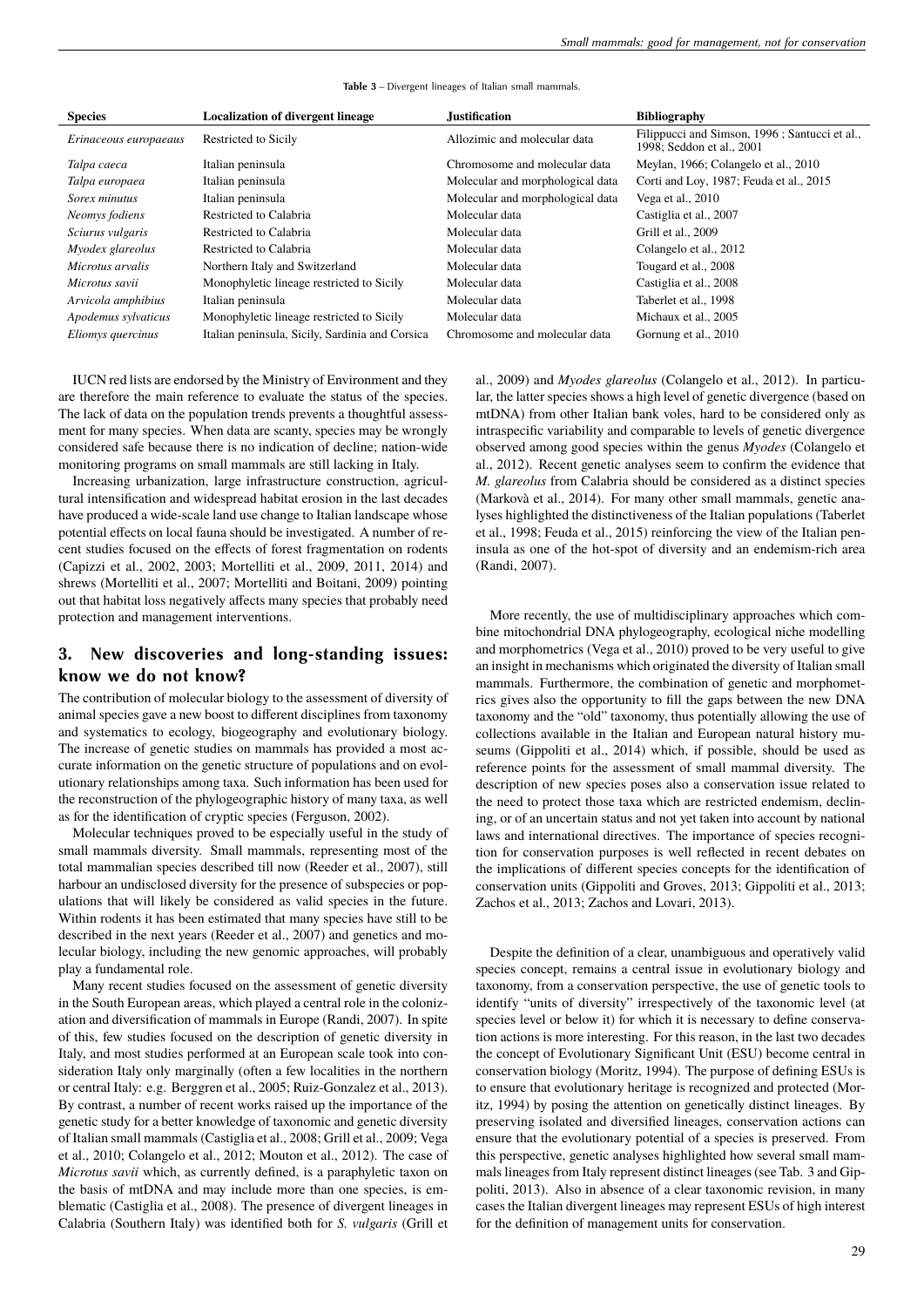| <b>Species</b>        | <b>Localization of divergent lineage</b>        | <b>Justification</b>             | <b>Bibliography</b>                                                        |
|-----------------------|-------------------------------------------------|----------------------------------|----------------------------------------------------------------------------|
| Erinaceous europaeaus | Restricted to Sicily                            | Allozimic and molecular data     | Filippucci and Simson, 1996; Santucci et al.,<br>1998; Seddon et al., 2001 |
| Talpa caeca           | Italian peninsula                               | Chromosome and molecular data    | Meylan, 1966; Colangelo et al., 2010                                       |
| Talpa europaea        | Italian peninsula                               | Molecular and morphological data | Corti and Loy, 1987; Feuda et al., 2015                                    |
| Sorex minutus         | Italian peninsula                               | Molecular and morphological data | Vega et al., 2010                                                          |
| Neomys fodiens        | Restricted to Calabria                          | Molecular data                   | Castiglia et al., 2007                                                     |
| Sciurus vulgaris      | Restricted to Calabria                          | Molecular data                   | Grill et al., 2009                                                         |
| Myodex glareolus      | Restricted to Calabria                          | Molecular data                   | Colangelo et al., 2012                                                     |
| Microtus arvalis      | Northern Italy and Switzerland                  | Molecular data                   | Tougard et al., 2008                                                       |
| Microtus savii        | Monophyletic lineage restricted to Sicily       | Molecular data                   | Castiglia et al., 2008                                                     |
| Arvicola amphibius    | Italian peninsula                               | Molecular data                   | Taberlet et al., 1998                                                      |
| Apodemus sylvaticus   | Monophyletic lineage restricted to Sicily       | Molecular data                   | Michaux et al., 2005                                                       |
| Eliomys quercinus     | Italian peninsula, Sicily, Sardinia and Corsica | Chromosome and molecular data    | Gornung et al., 2010                                                       |

#### **Table 3** – Divergent lineages of Italian small mammals.

IUCN red lists are endorsed by the Ministry of Environment and they are therefore the main reference to evaluate the status of the species. The lack of data on the population trends prevents a thoughtful assessment for many species. When data are scanty, species may be wrongly considered safe because there is no indication of decline; nation-wide monitoring programs on small mammals are still lacking in Italy.

Increasing urbanization, large infrastructure construction, agricultural intensification and widespread habitat erosion in the last decades have produced a wide-scale land use change to Italian landscape whose potential effects on local fauna should be investigated. A number of recent studies focused on the effects of forest fragmentation on rodents (Capizzi et al., 2002, 2003; Mortelliti et al., 2009, 2011, 2014) and shrews (Mortelliti et al., 2007; Mortelliti and Boitani, 2009) pointing out that habitat loss negatively affects many species that probably need protection and management interventions.

# **3. New discoveries and long-standing issues: know we do not know?**

The contribution of molecular biology to the assessment of diversity of animal species gave a new boost to different disciplines from taxonomy and systematics to ecology, biogeography and evolutionary biology. The increase of genetic studies on mammals has provided a most accurate information on the genetic structure of populations and on evolutionary relationships among taxa. Such information has been used for the reconstruction of the phylogeographic history of many taxa, as well as for the identification of cryptic species (Ferguson, 2002).

Molecular techniques proved to be especially useful in the study of small mammals diversity. Small mammals, representing most of the total mammalian species described till now (Reeder et al., 2007), still harbour an undisclosed diversity for the presence of subspecies or populations that will likely be considered as valid species in the future. Within rodents it has been estimated that many species have still to be described in the next years (Reeder et al., 2007) and genetics and molecular biology, including the new genomic approaches, will probably play a fundamental role.

Many recent studies focused on the assessment of genetic diversity in the South European areas, which played a central role in the colonization and diversification of mammals in Europe (Randi, 2007). In spite of this, few studies focused on the description of genetic diversity in Italy, and most studies performed at an European scale took into consideration Italy only marginally (often a few localities in the northern or central Italy: e.g. Berggren et al., 2005; Ruiz-Gonzalez et al., 2013). By contrast, a number of recent works raised up the importance of the genetic study for a better knowledge of taxonomic and genetic diversity of Italian small mammals (Castiglia et al., 2008; Grill et al., 2009; Vega et al., 2010; Colangelo et al., 2012; Mouton et al., 2012). The case of *Microtus savii* which, as currently defined, is a paraphyletic taxon on the basis of mtDNA and may include more than one species, is emblematic (Castiglia et al., 2008). The presence of divergent lineages in Calabria (Southern Italy) was identified both for *S. vulgaris* (Grill et al., 2009) and *Myodes glareolus* (Colangelo et al., 2012). In particular, the latter species shows a high level of genetic divergence (based on mtDNA) from other Italian bank voles, hard to be considered only as intraspecific variability and comparable to levels of genetic divergence observed among good species within the genus *Myodes* (Colangelo et al., 2012). Recent genetic analyses seem to confirm the evidence that *M. glareolus* from Calabria should be considered as a distinct species (Markovà et al., 2014). For many other small mammals, genetic analyses highlighted the distinctiveness of the Italian populations (Taberlet et al., 1998; Feuda et al., 2015) reinforcing the view of the Italian peninsula as one of the hot-spot of diversity and an endemism-rich area (Randi, 2007).

More recently, the use of multidisciplinary approaches which combine mitochondrial DNA phylogeography, ecological niche modelling and morphometrics (Vega et al., 2010) proved to be very useful to give an insight in mechanisms which originated the diversity of Italian small mammals. Furthermore, the combination of genetic and morphometrics gives also the opportunity to fill the gaps between the new DNA taxonomy and the "old" taxonomy, thus potentially allowing the use of collections available in the Italian and European natural history museums (Gippoliti et al., 2014) which, if possible, should be used as reference points for the assessment of small mammal diversity. The description of new species poses also a conservation issue related to the need to protect those taxa which are restricted endemism, declining, or of an uncertain status and not yet taken into account by national laws and international directives. The importance of species recognition for conservation purposes is well reflected in recent debates on the implications of different species concepts for the identification of conservation units (Gippoliti and Groves, 2013; Gippoliti et al., 2013; Zachos et al., 2013; Zachos and Lovari, 2013).

Despite the definition of a clear, unambiguous and operatively valid species concept, remains a central issue in evolutionary biology and taxonomy, from a conservation perspective, the use of genetic tools to identify "units of diversity" irrespectively of the taxonomic level (at species level or below it) for which it is necessary to define conservation actions is more interesting. For this reason, in the last two decades the concept of Evolutionary Significant Unit (ESU) become central in conservation biology (Moritz, 1994). The purpose of defining ESUs is to ensure that evolutionary heritage is recognized and protected (Moritz, 1994) by posing the attention on genetically distinct lineages. By preserving isolated and diversified lineages, conservation actions can ensure that the evolutionary potential of a species is preserved. From this perspective, genetic analyses highlighted how several small mammals lineages from Italy represent distinct lineages (see Tab. 3 and Gippoliti, 2013). Also in absence of a clear taxonomic revision, in many cases the Italian divergent lineages may represent ESUs of high interest for the definition of management units for conservation.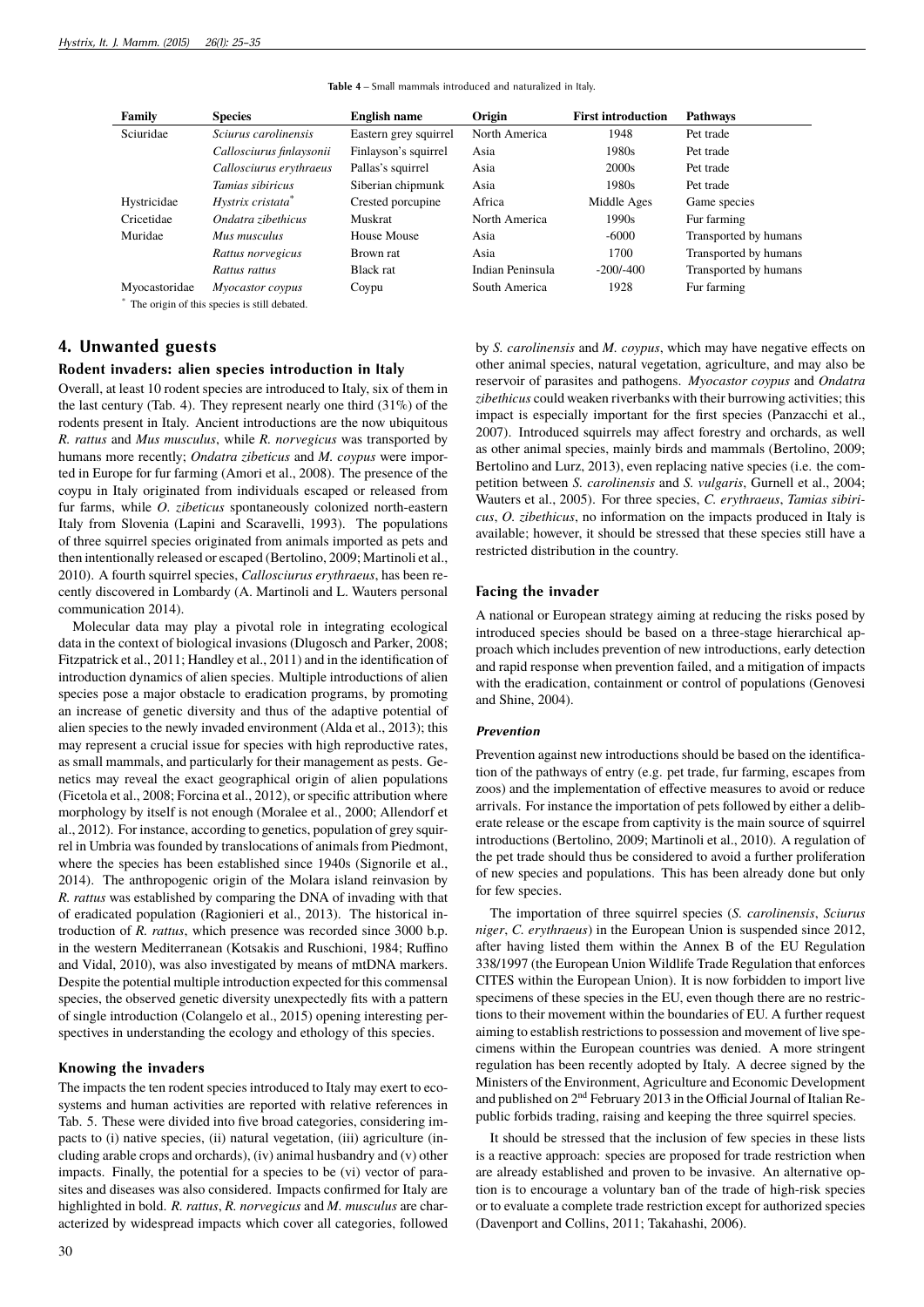| Family                                       | <b>Species</b>                | <b>English name</b>   | Origin           | <b>First introduction</b> | <b>Pathways</b>       |  |
|----------------------------------------------|-------------------------------|-----------------------|------------------|---------------------------|-----------------------|--|
| Sciuridae                                    | Sciurus carolinensis          | Eastern grey squirrel | North America    | 1948                      | Pet trade             |  |
|                                              | Callosciurus finlaysonii      | Finlayson's squirrel  | Asia             | 1980s                     | Pet trade             |  |
|                                              | Callosciurus erythraeus       | Pallas's squirrel     | Asia             | 2000 <sub>s</sub>         | Pet trade             |  |
|                                              | Tamias sibiricus              | Siberian chipmunk     | Asia             | 1980s                     | Pet trade             |  |
| Hystricidae                                  | Hystrix cristata <sup>*</sup> | Crested porcupine     | Africa           | Middle Ages               | Game species          |  |
| Cricetidae                                   | Ondatra zibethicus            | <b>Muskrat</b>        | North America    | 1990s                     | Fur farming           |  |
| Muridae                                      | Mus musculus                  | House Mouse           | Asia             | $-6000$                   | Transported by humans |  |
|                                              | Rattus norvegicus             | Brown rat             | Asia             | 1700                      | Transported by humans |  |
|                                              | Rattus rattus                 | <b>Black</b> rat      | Indian Peninsula | $-200/1400$               | Transported by humans |  |
| Myocastoridae                                | Myocastor coypus              | Coypu                 | South America    | 1928                      | Fur farming           |  |
| The origin of this species is still debated. |                               |                       |                  |                           |                       |  |

**Table 4** – Small mammals introduced and naturalized in Italy.

## **4. Unwanted guests**

#### **Rodent invaders: alien species introduction in Italy**

Overall, at least 10 rodent species are introduced to Italy, six of them in the last century (Tab. 4). They represent nearly one third (31%) of the rodents present in Italy. Ancient introductions are the now ubiquitous *R. rattus* and *Mus musculus*, while *R. norvegicus* was transported by humans more recently; *Ondatra zibeticus* and *M. coypus* were imported in Europe for fur farming (Amori et al., 2008). The presence of the coypu in Italy originated from individuals escaped or released from fur farms, while *O. zibeticus* spontaneously colonized north-eastern Italy from Slovenia (Lapini and Scaravelli, 1993). The populations of three squirrel species originated from animals imported as pets and then intentionally released or escaped (Bertolino, 2009; Martinoli et al., 2010). A fourth squirrel species, *Callosciurus erythraeus*, has been recently discovered in Lombardy (A. Martinoli and L. Wauters personal communication 2014).

Molecular data may play a pivotal role in integrating ecological data in the context of biological invasions (Dlugosch and Parker, 2008; Fitzpatrick et al., 2011; Handley et al., 2011) and in the identification of introduction dynamics of alien species. Multiple introductions of alien species pose a major obstacle to eradication programs, by promoting an increase of genetic diversity and thus of the adaptive potential of alien species to the newly invaded environment (Alda et al., 2013); this may represent a crucial issue for species with high reproductive rates, as small mammals, and particularly for their management as pests. Genetics may reveal the exact geographical origin of alien populations (Ficetola et al., 2008; Forcina et al., 2012), or specific attribution where morphology by itself is not enough (Moralee et al., 2000; Allendorf et al., 2012). For instance, according to genetics, population of grey squirrel in Umbria was founded by translocations of animals from Piedmont, where the species has been established since 1940s (Signorile et al., 2014). The anthropogenic origin of the Molara island reinvasion by *R. rattus* was established by comparing the DNA of invading with that of eradicated population (Ragionieri et al., 2013). The historical introduction of *R. rattus*, which presence was recorded since 3000 b.p. in the western Mediterranean (Kotsakis and Ruschioni, 1984; Ruffino and Vidal, 2010), was also investigated by means of mtDNA markers. Despite the potential multiple introduction expected for this commensal species, the observed genetic diversity unexpectedly fits with a pattern of single introduction (Colangelo et al., 2015) opening interesting perspectives in understanding the ecology and ethology of this species.

#### **Knowing the invaders**

The impacts the ten rodent species introduced to Italy may exert to ecosystems and human activities are reported with relative references in Tab. 5. These were divided into five broad categories, considering impacts to (i) native species, (ii) natural vegetation, (iii) agriculture (including arable crops and orchards), (iv) animal husbandry and (v) other impacts. Finally, the potential for a species to be (vi) vector of parasites and diseases was also considered. Impacts confirmed for Italy are highlighted in bold. *R. rattus*, *R. norvegicus* and *M. musculus* are characterized by widespread impacts which cover all categories, followed

by *S. carolinensis* and *M. coypus*, which may have negative effects on other animal species, natural vegetation, agriculture, and may also be reservoir of parasites and pathogens. *Myocastor coypus* and *Ondatra zibethicus* could weaken riverbanks with their burrowing activities; this impact is especially important for the first species (Panzacchi et al., 2007). Introduced squirrels may affect forestry and orchards, as well as other animal species, mainly birds and mammals (Bertolino, 2009; Bertolino and Lurz, 2013), even replacing native species (i.e. the competition between *S. carolinensis* and *S. vulgaris*, Gurnell et al., 2004; Wauters et al., 2005). For three species, *C. erythraeus*, *Tamias sibiricus*, *O. zibethicus*, no information on the impacts produced in Italy is available; however, it should be stressed that these species still have a restricted distribution in the country.

#### **Facing the invader**

A national or European strategy aiming at reducing the risks posed by introduced species should be based on a three-stage hierarchical approach which includes prevention of new introductions, early detection and rapid response when prevention failed, and a mitigation of impacts with the eradication, containment or control of populations (Genovesi and Shine, 2004).

#### *Prevention*

Prevention against new introductions should be based on the identification of the pathways of entry (e.g. pet trade, fur farming, escapes from zoos) and the implementation of effective measures to avoid or reduce arrivals. For instance the importation of pets followed by either a deliberate release or the escape from captivity is the main source of squirrel introductions (Bertolino, 2009; Martinoli et al., 2010). A regulation of the pet trade should thus be considered to avoid a further proliferation of new species and populations. This has been already done but only for few species.

The importation of three squirrel species (*S. carolinensis*, *Sciurus niger*, *C. erythraeus*) in the European Union is suspended since 2012, after having listed them within the Annex B of the EU Regulation 338/1997 (the European Union Wildlife Trade Regulation that enforces CITES within the European Union). It is now forbidden to import live specimens of these species in the EU, even though there are no restrictions to their movement within the boundaries of EU. A further request aiming to establish restrictions to possession and movement of live specimens within the European countries was denied. A more stringent regulation has been recently adopted by Italy. A decree signed by the Ministers of the Environment, Agriculture and Economic Development and published on 2<sup>nd</sup> February 2013 in the Official Journal of Italian Republic forbids trading, raising and keeping the three squirrel species.

It should be stressed that the inclusion of few species in these lists is a reactive approach: species are proposed for trade restriction when are already established and proven to be invasive. An alternative option is to encourage a voluntary ban of the trade of high-risk species or to evaluate a complete trade restriction except for authorized species (Davenport and Collins, 2011; Takahashi, 2006).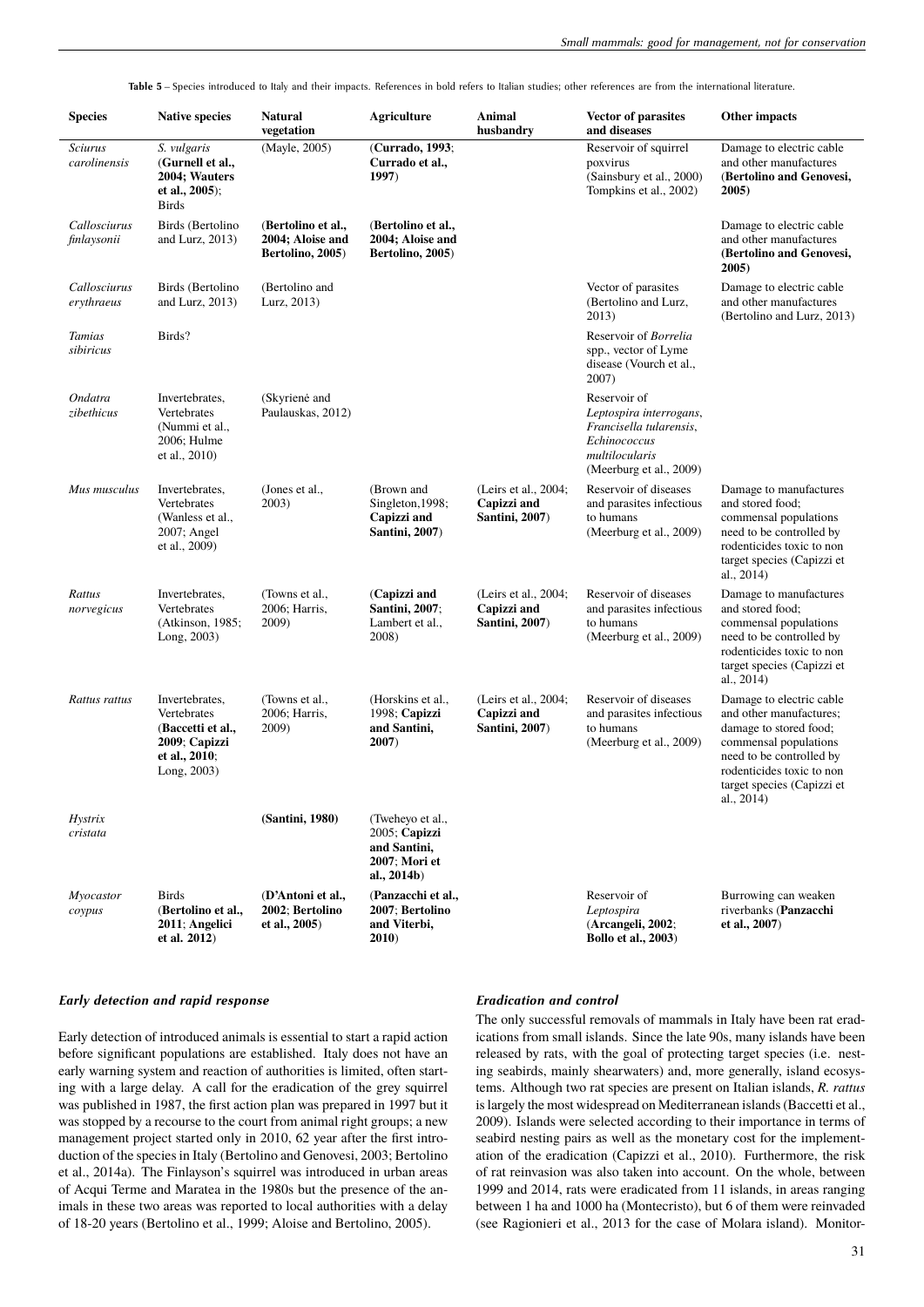**Table 5** – Species introduced to Italy and their impacts. References in bold refers to Italian studies; other references are from the international literature.

| <b>Species</b>                 | <b>Native species</b>                                                                               | Natural<br>vegetation                                      | <b>Agriculture</b>                                                                | Animal<br>husbandry                                          | <b>Vector of parasites</b><br>and diseases                                                                                      | Other impacts                                                                                                                                                                                               |
|--------------------------------|-----------------------------------------------------------------------------------------------------|------------------------------------------------------------|-----------------------------------------------------------------------------------|--------------------------------------------------------------|---------------------------------------------------------------------------------------------------------------------------------|-------------------------------------------------------------------------------------------------------------------------------------------------------------------------------------------------------------|
| <b>Sciurus</b><br>carolinensis | S. vulgaris<br>(Gurnell et al.,<br>2004; Wauters<br>et al., $2005$ ;<br><b>Birds</b>                | (Mayle, 2005)                                              | (Currado, 1993;<br>Currado et al.,<br>1997)                                       |                                                              | Reservoir of squirrel<br>poxvirus<br>(Sainsbury et al., 2000)<br>Tompkins et al., 2002)                                         | Damage to electric cable<br>and other manufactures<br>(Bertolino and Genovesi,<br>2005)                                                                                                                     |
| Callosciurus<br>finlaysonii    | Birds (Bertolino<br>and Lurz, $2013$ )                                                              | (Bertolino et al.,<br>2004; Aloise and<br>Bertolino, 2005) | (Bertolino et al.,<br>2004; Aloise and<br>Bertolino, 2005)                        |                                                              |                                                                                                                                 | Damage to electric cable<br>and other manufactures<br>(Bertolino and Genovesi,<br>2005)                                                                                                                     |
| Callosciurus<br>erythraeus     | Birds (Bertolino<br>and Lurz, $2013$ )                                                              | (Bertolino and<br>Lurz, 2013)                              |                                                                                   |                                                              | Vector of parasites<br>(Bertolino and Lurz,<br>2013)                                                                            | Damage to electric cable<br>and other manufactures<br>(Bertolino and Lurz, 2013)                                                                                                                            |
| Tamias<br>sibiricus            | Birds?                                                                                              |                                                            |                                                                                   |                                                              | Reservoir of Borrelia<br>spp., vector of Lyme<br>disease (Vourch et al.,<br>2007)                                               |                                                                                                                                                                                                             |
| Ondatra<br>zibethicus          | Invertebrates,<br>Vertebrates<br>(Nummi et al.,<br>2006; Hulme<br>et al., 2010)                     | (Skyrienė and<br>Paulauskas, 2012)                         |                                                                                   |                                                              | Reservoir of<br>Leptospira interrogans,<br>Francisella tularensis,<br>Echinococcus<br>multilocularis<br>(Meerburg et al., 2009) |                                                                                                                                                                                                             |
| Mus musculus                   | Invertebrates,<br>Vertebrates<br>(Wanless et al.,<br>2007; Angel<br>et al., 2009)                   | (Jones et al.,<br>2003)                                    | (Brown and<br>Singleton, 1998;<br>Capizzi and<br><b>Santini</b> , 2007)           | (Leirs et al., 2004;<br>Capizzi and<br><b>Santini, 2007)</b> | Reservoir of diseases<br>and parasites infectious<br>to humans<br>(Meerburg et al., 2009)                                       | Damage to manufactures<br>and stored food;<br>commensal populations<br>need to be controlled by<br>rodenticides toxic to non<br>target species (Capizzi et<br>al., $2014$ )                                 |
| Rattus<br>norvegicus           | Invertebrates,<br>Vertebrates<br>(Atkinson, 1985;<br>Long, 2003)                                    | (Towns et al.,<br>2006; Harris,<br>2009)                   | (Capizzi and<br>Santini, 2007;<br>Lambert et al.,<br>2008)                        | (Leirs et al., 2004;<br>Capizzi and<br>Santini, 2007)        | Reservoir of diseases<br>and parasites infectious<br>to humans<br>(Meerburg et al., 2009)                                       | Damage to manufactures<br>and stored food;<br>commensal populations<br>need to be controlled by<br>rodenticides toxic to non<br>target species (Capizzi et<br>al., 2014)                                    |
| Rattus rattus                  | Invertebrates,<br>Vertebrates<br>(Baccetti et al.,<br>2009; Capizzi<br>et al., 2010;<br>Long, 2003) | (Towns et al.,<br>2006; Harris,<br>2009)                   | (Horskins et al.,<br>1998; Capizzi<br>and Santini,<br>2007)                       | (Leirs et al., 2004;<br>Capizzi and<br>Santini, 2007)        | Reservoir of diseases<br>and parasites infectious<br>to humans<br>(Meerburg et al., 2009)                                       | Damage to electric cable<br>and other manufactures;<br>damage to stored food;<br>commensal populations<br>need to be controlled by<br>rodenticides toxic to non<br>target species (Capizzi et<br>al., 2014) |
| Hystrix<br>cristata            |                                                                                                     | (Santini, 1980)                                            | (Tweheyo et al.,<br>2005; Capizzi<br>and Santini,<br>2007: Mori et<br>al., 2014b) |                                                              |                                                                                                                                 |                                                                                                                                                                                                             |
| Myocastor<br>coypus            | <b>Birds</b><br>(Bertolino et al.,<br>2011; Angelici<br>et al. 2012)                                | (D'Antoni et al.,<br>2002; Bertolino<br>et al., 2005)      | (Panzacchi et al.,<br>2007; Bertolino<br>and Viterbi,<br>2010)                    |                                                              | Reservoir of<br>Leptospira<br>(Arcangeli, 2002;<br><b>Bollo et al., 2003)</b>                                                   | Burrowing can weaken<br>riverbanks (Panzacchi<br>et al., 2007)                                                                                                                                              |

#### *Early detection and rapid response*

Early detection of introduced animals is essential to start a rapid action before significant populations are established. Italy does not have an early warning system and reaction of authorities is limited, often starting with a large delay. A call for the eradication of the grey squirrel was published in 1987, the first action plan was prepared in 1997 but it was stopped by a recourse to the court from animal right groups; a new management project started only in 2010, 62 year after the first introduction of the species in Italy (Bertolino and Genovesi, 2003; Bertolino et al., 2014a). The Finlayson's squirrel was introduced in urban areas of Acqui Terme and Maratea in the 1980s but the presence of the animals in these two areas was reported to local authorities with a delay of 18-20 years (Bertolino et al., 1999; Aloise and Bertolino, 2005).

## *Eradication and control*

The only successful removals of mammals in Italy have been rat eradications from small islands. Since the late 90s, many islands have been released by rats, with the goal of protecting target species (i.e. nesting seabirds, mainly shearwaters) and, more generally, island ecosystems. Although two rat species are present on Italian islands, *R. rattus* is largely the most widespread on Mediterranean islands (Baccetti et al., 2009). Islands were selected according to their importance in terms of seabird nesting pairs as well as the monetary cost for the implementation of the eradication (Capizzi et al., 2010). Furthermore, the risk of rat reinvasion was also taken into account. On the whole, between 1999 and 2014, rats were eradicated from 11 islands, in areas ranging between 1 ha and 1000 ha (Montecristo), but 6 of them were reinvaded (see Ragionieri et al., 2013 for the case of Molara island). Monitor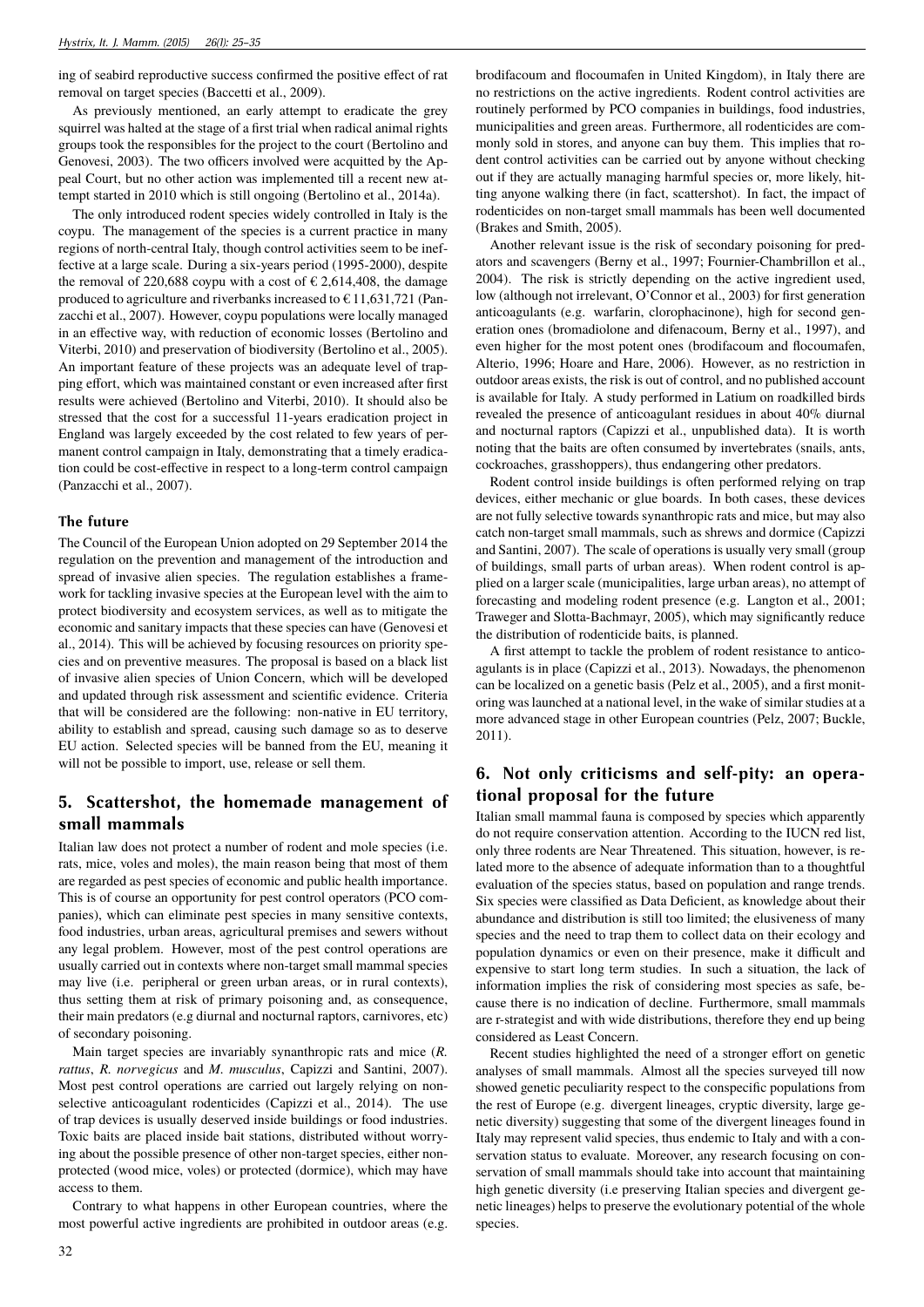ing of seabird reproductive success confirmed the positive effect of rat removal on target species (Baccetti et al., 2009).

As previously mentioned, an early attempt to eradicate the grey squirrel was halted at the stage of a first trial when radical animal rights groups took the responsibles for the project to the court (Bertolino and Genovesi, 2003). The two officers involved were acquitted by the Appeal Court, but no other action was implemented till a recent new attempt started in 2010 which is still ongoing (Bertolino et al., 2014a).

The only introduced rodent species widely controlled in Italy is the coypu. The management of the species is a current practice in many regions of north-central Italy, though control activities seem to be ineffective at a large scale. During a six-years period (1995-2000), despite the removal of 220,688 coypu with a cost of  $\epsilon$  2,614,408, the damage produced to agriculture and riverbanks increased to  $\epsilon$  11,631,721 (Panzacchi et al., 2007). However, coypu populations were locally managed in an effective way, with reduction of economic losses (Bertolino and Viterbi, 2010) and preservation of biodiversity (Bertolino et al., 2005). An important feature of these projects was an adequate level of trapping effort, which was maintained constant or even increased after first results were achieved (Bertolino and Viterbi, 2010). It should also be stressed that the cost for a successful 11-years eradication project in England was largely exceeded by the cost related to few years of permanent control campaign in Italy, demonstrating that a timely eradication could be cost-effective in respect to a long-term control campaign (Panzacchi et al., 2007).

### **The future**

The Council of the European Union adopted on 29 September 2014 the regulation on the prevention and management of the introduction and spread of invasive alien species. The regulation establishes a framework for tackling invasive species at the European level with the aim to protect biodiversity and ecosystem services, as well as to mitigate the economic and sanitary impacts that these species can have (Genovesi et al., 2014). This will be achieved by focusing resources on priority species and on preventive measures. The proposal is based on a black list of invasive alien species of Union Concern, which will be developed and updated through risk assessment and scientific evidence. Criteria that will be considered are the following: non-native in EU territory, ability to establish and spread, causing such damage so as to deserve EU action. Selected species will be banned from the EU, meaning it will not be possible to import, use, release or sell them.

# **5. Scattershot, the homemade management of small mammals**

Italian law does not protect a number of rodent and mole species (i.e. rats, mice, voles and moles), the main reason being that most of them are regarded as pest species of economic and public health importance. This is of course an opportunity for pest control operators (PCO companies), which can eliminate pest species in many sensitive contexts, food industries, urban areas, agricultural premises and sewers without any legal problem. However, most of the pest control operations are usually carried out in contexts where non-target small mammal species may live (i.e. peripheral or green urban areas, or in rural contexts), thus setting them at risk of primary poisoning and, as consequence, their main predators (e.g diurnal and nocturnal raptors, carnivores, etc) of secondary poisoning.

Main target species are invariably synanthropic rats and mice (*R. rattus*, *R. norvegicus* and *M. musculus*, Capizzi and Santini, 2007). Most pest control operations are carried out largely relying on nonselective anticoagulant rodenticides (Capizzi et al., 2014). The use of trap devices is usually deserved inside buildings or food industries. Toxic baits are placed inside bait stations, distributed without worrying about the possible presence of other non-target species, either nonprotected (wood mice, voles) or protected (dormice), which may have access to them.

Contrary to what happens in other European countries, where the most powerful active ingredients are prohibited in outdoor areas (e.g.

brodifacoum and flocoumafen in United Kingdom), in Italy there are no restrictions on the active ingredients. Rodent control activities are routinely performed by PCO companies in buildings, food industries, municipalities and green areas. Furthermore, all rodenticides are commonly sold in stores, and anyone can buy them. This implies that rodent control activities can be carried out by anyone without checking out if they are actually managing harmful species or, more likely, hitting anyone walking there (in fact, scattershot). In fact, the impact of rodenticides on non-target small mammals has been well documented (Brakes and Smith, 2005).

Another relevant issue is the risk of secondary poisoning for predators and scavengers (Berny et al., 1997; Fournier-Chambrillon et al., 2004). The risk is strictly depending on the active ingredient used, low (although not irrelevant, O'Connor et al., 2003) for first generation anticoagulants (e.g. warfarin, clorophacinone), high for second generation ones (bromadiolone and difenacoum, Berny et al., 1997), and even higher for the most potent ones (brodifacoum and flocoumafen, Alterio, 1996; Hoare and Hare, 2006). However, as no restriction in outdoor areas exists, the risk is out of control, and no published account is available for Italy. A study performed in Latium on roadkilled birds revealed the presence of anticoagulant residues in about 40% diurnal and nocturnal raptors (Capizzi et al., unpublished data). It is worth noting that the baits are often consumed by invertebrates (snails, ants, cockroaches, grasshoppers), thus endangering other predators.

Rodent control inside buildings is often performed relying on trap devices, either mechanic or glue boards. In both cases, these devices are not fully selective towards synanthropic rats and mice, but may also catch non-target small mammals, such as shrews and dormice (Capizzi and Santini, 2007). The scale of operations is usually very small (group of buildings, small parts of urban areas). When rodent control is applied on a larger scale (municipalities, large urban areas), no attempt of forecasting and modeling rodent presence (e.g. Langton et al., 2001; Traweger and Slotta-Bachmayr, 2005), which may significantly reduce the distribution of rodenticide baits, is planned.

A first attempt to tackle the problem of rodent resistance to anticoagulants is in place (Capizzi et al., 2013). Nowadays, the phenomenon can be localized on a genetic basis (Pelz et al., 2005), and a first monitoring was launched at a national level, in the wake of similar studies at a more advanced stage in other European countries (Pelz, 2007; Buckle, 2011).

## **6. Not only criticisms and self-pity: an operational proposal for the future**

Italian small mammal fauna is composed by species which apparently do not require conservation attention. According to the IUCN red list, only three rodents are Near Threatened. This situation, however, is related more to the absence of adequate information than to a thoughtful evaluation of the species status, based on population and range trends. Six species were classified as Data Deficient, as knowledge about their abundance and distribution is still too limited; the elusiveness of many species and the need to trap them to collect data on their ecology and population dynamics or even on their presence, make it difficult and expensive to start long term studies. In such a situation, the lack of information implies the risk of considering most species as safe, because there is no indication of decline. Furthermore, small mammals are r-strategist and with wide distributions, therefore they end up being considered as Least Concern.

Recent studies highlighted the need of a stronger effort on genetic analyses of small mammals. Almost all the species surveyed till now showed genetic peculiarity respect to the conspecific populations from the rest of Europe (e.g. divergent lineages, cryptic diversity, large genetic diversity) suggesting that some of the divergent lineages found in Italy may represent valid species, thus endemic to Italy and with a conservation status to evaluate. Moreover, any research focusing on conservation of small mammals should take into account that maintaining high genetic diversity (i.e preserving Italian species and divergent genetic lineages) helps to preserve the evolutionary potential of the whole species.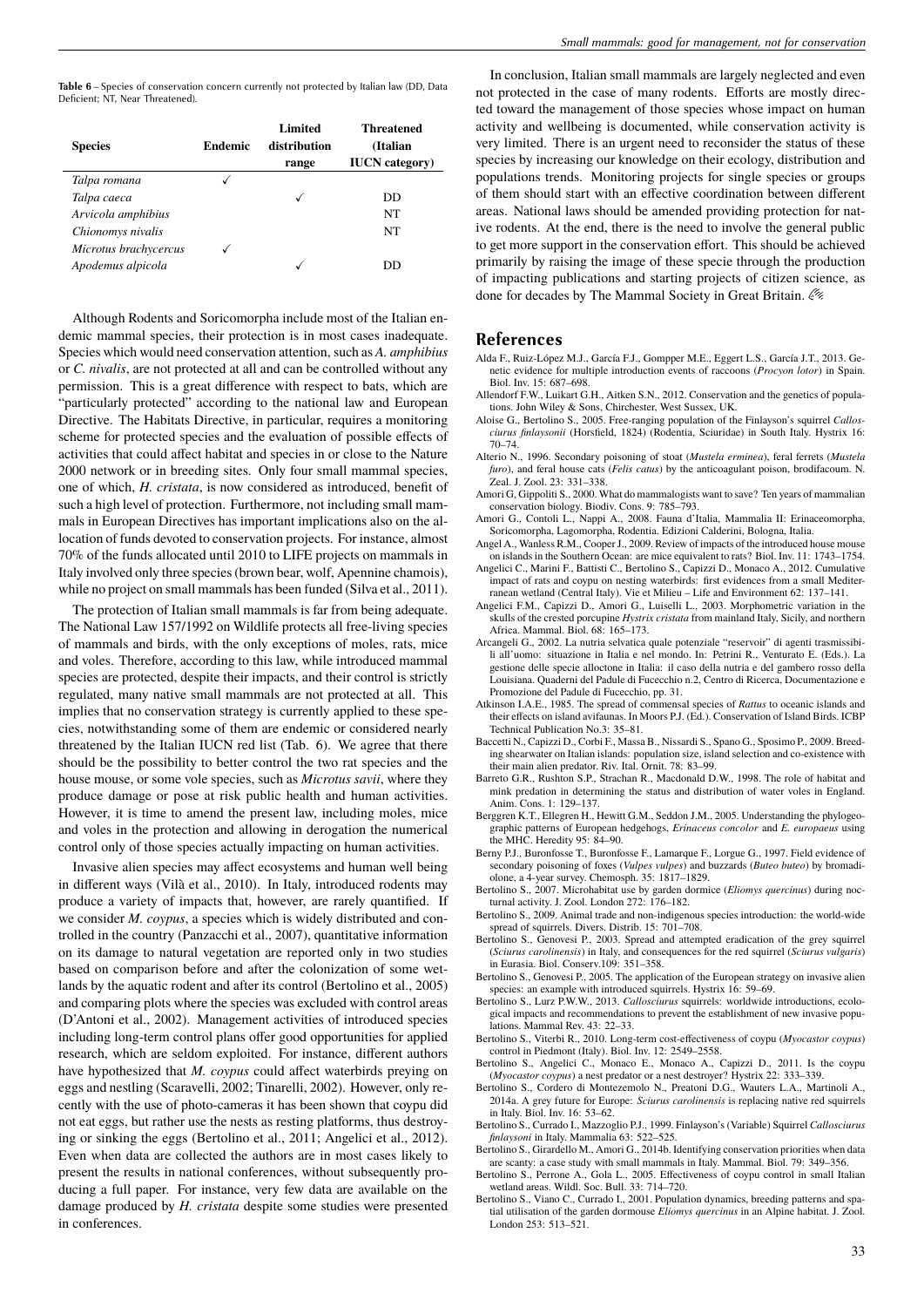**Table 6** – Species of conservation concern currently not protected by Italian law (DD, Data Deficient; NT, Near Threatened).

| <b>Species</b>        | <b>Endemic</b> | <b>Limited</b><br>distribution<br>range | Threatened<br>(Italian<br><b>IUCN</b> category) |
|-----------------------|----------------|-----------------------------------------|-------------------------------------------------|
| Talpa romana          |                |                                         |                                                 |
| Talpa caeca           |                | √                                       | DD                                              |
| Arvicola amphibius    |                |                                         | NT                                              |
| Chionomys nivalis     |                |                                         | NT                                              |
| Microtus brachycercus |                |                                         |                                                 |
| Apodemus alpicola     |                |                                         | טט                                              |

Although Rodents and Soricomorpha include most of the Italian endemic mammal species, their protection is in most cases inadequate. Species which would need conservation attention, such as *A. amphibius* or *C. nivalis*, are not protected at all and can be controlled without any permission. This is a great difference with respect to bats, which are "particularly protected" according to the national law and European Directive. The Habitats Directive, in particular, requires a monitoring scheme for protected species and the evaluation of possible effects of activities that could affect habitat and species in or close to the Nature 2000 network or in breeding sites. Only four small mammal species, one of which, *H. cristata*, is now considered as introduced, benefit of such a high level of protection. Furthermore, not including small mammals in European Directives has important implications also on the allocation of funds devoted to conservation projects. For instance, almost 70% of the funds allocated until 2010 to LIFE projects on mammals in Italy involved only three species (brown bear, wolf, Apennine chamois), while no project on small mammals has been funded (Silva et al., 2011).

The protection of Italian small mammals is far from being adequate. The National Law 157/1992 on Wildlife protects all free-living species of mammals and birds, with the only exceptions of moles, rats, mice and voles. Therefore, according to this law, while introduced mammal species are protected, despite their impacts, and their control is strictly regulated, many native small mammals are not protected at all. This implies that no conservation strategy is currently applied to these species, notwithstanding some of them are endemic or considered nearly threatened by the Italian IUCN red list (Tab. 6). We agree that there should be the possibility to better control the two rat species and the house mouse, or some vole species, such as *Microtus savii*, where they produce damage or pose at risk public health and human activities. However, it is time to amend the present law, including moles, mice and voles in the protection and allowing in derogation the numerical control only of those species actually impacting on human activities.

Invasive alien species may affect ecosystems and human well being in different ways (Vilà et al., 2010). In Italy, introduced rodents may produce a variety of impacts that, however, are rarely quantified. If we consider *M. coypus*, a species which is widely distributed and controlled in the country (Panzacchi et al., 2007), quantitative information on its damage to natural vegetation are reported only in two studies based on comparison before and after the colonization of some wetlands by the aquatic rodent and after its control (Bertolino et al., 2005) and comparing plots where the species was excluded with control areas (D'Antoni et al., 2002). Management activities of introduced species including long-term control plans offer good opportunities for applied research, which are seldom exploited. For instance, different authors have hypothesized that *M. coypus* could affect waterbirds preying on eggs and nestling (Scaravelli, 2002; Tinarelli, 2002). However, only recently with the use of photo-cameras it has been shown that coypu did not eat eggs, but rather use the nests as resting platforms, thus destroying or sinking the eggs (Bertolino et al., 2011; Angelici et al., 2012). Even when data are collected the authors are in most cases likely to present the results in national conferences, without subsequently producing a full paper. For instance, very few data are available on the damage produced by *H. cristata* despite some studies were presented in conferences.

In conclusion, Italian small mammals are largely neglected and even not protected in the case of many rodents. Efforts are mostly directed toward the management of those species whose impact on human activity and wellbeing is documented, while conservation activity is very limited. There is an urgent need to reconsider the status of these species by increasing our knowledge on their ecology, distribution and populations trends. Monitoring projects for single species or groups of them should start with an effective coordination between different areas. National laws should be amended providing protection for native rodents. At the end, there is the need to involve the general public to get more support in the conservation effort. This should be achieved primarily by raising the image of these specie through the production of impacting publications and starting projects of citizen science, as done for decades by The Mammal Society in Great Britain.  $\lll$ 

#### **References**

- Alda F., Ruiz-López M.J., García F.J., Gompper M.E., Eggert L.S., García J.T., 2013. Genetic evidence for multiple introduction events of raccoons (*Procyon lotor*) in Spain. Biol. Inv. 15: 687–698.
- Allendorf F.W., Luikart G.H., Aitken S.N., 2012. Conservation and the genetics of populations. John Wiley & Sons, Chirchester, West Sussex, UK.
- Aloise G., Bertolino S., 2005. Free-ranging population of the Finlayson's squirrel *Callosciurus finlaysonii* (Horsfield, 1824) (Rodentia, Sciuridae) in South Italy. Hystrix 16: 70–74.
- Alterio N., 1996. Secondary poisoning of stoat (*Mustela erminea*), feral ferrets (*Mustela furo*), and feral house cats (*Felis catus*) by the anticoagulant poison, brodifacoum. N. Zeal. J. Zool. 23: 331–338.
- Amori G, Gippoliti S., 2000. What do mammalogists want to save? Ten years of mammalian conservation biology. Biodiv. Cons. 9: 785–793.
- Amori G., Contoli L., Nappi A., 2008. Fauna d'Italia, Mammalia II: Erinaceomorpha, Soricomorpha, Lagomorpha, Rodentia. Edizioni Calderini, Bologna, Italia.
- Angel A., Wanless R.M., Cooper J., 2009. Review of impacts of the introduced house mouse on islands in the Southern Ocean: are mice equivalent to rats? Biol. Inv. 11: 1743–1754. Angelici C., Marini F., Battisti C., Bertolino S., Capizzi D., Monaco A., 2012. Cumulative impact of rats and coypu on nesting waterbirds: first evidences from a small Mediterranean wetland (Central Italy). Vie et Milieu – Life and Environment 62: 137–141.
- Angelici F.M., Capizzi D., Amori G., Luiselli L., 2003. Morphometric variation in the skulls of the crested porcupine *Hystrix cristata* from mainland Italy, Sicily, and northern Africa. Mammal. Biol. 68: 165–173.
- Arcangeli G., 2002. La nutria selvatica quale potenziale "reservoir" di agenti trasmissibili all'uomo: situazione in Italia e nel mondo. In: Petrini R., Venturato E. (Eds.). La gestione delle specie alloctone in Italia: il caso della nutria e del gambero rosso della Louisiana. Quaderni del Padule di Fucecchio n.2, Centro di Ricerca, Documentazione e Promozione del Padule di Fucecchio, pp. 31.
- Atkinson I.A.E., 1985. The spread of commensal species of *Rattus* to oceanic islands and their effects on island avifaunas. In Moors P.J. (Ed.). Conservation of Island Birds. ICBP Technical Publication No.3: 35–81.
- Baccetti N., Capizzi D., Corbi F., Massa B., Nissardi S., Spano G., Sposimo P., 2009. Breeding shearwater on Italian islands: population size, island selection and co-existence with their main alien predator. Riv. Ital. Ornit. 78: 83–99.
- Barreto G.R., Rushton S.P., Strachan R., Macdonald D.W., 1998. The role of habitat and mink predation in determining the status and distribution of water voles in England. Anim. Cons. 1: 129–137.
- Berggren K.T., Ellegren H., Hewitt G.M., Seddon J.M., 2005. Understanding the phylogeographic patterns of European hedgehogs, *Erinaceus concolor* and *E. europaeus* using the MHC. Heredity 95: 84–90.
- Berny P.J., Buronfosse T., Buronfosse F., Lamarque F., Lorgue G., 1997. Field evidence of secondary poisoning of foxes (*Vulpes vulpes*) and buzzards (*Buteo buteo*) by bromadiolone, a 4-year survey. Chemosph. 35: 1817–1829.
- Bertolino S., 2007. Microhabitat use by garden dormice (*Eliomys quercinus*) during nocturnal activity. J. Zool. London 272: 176–182.
- Bertolino S., 2009. Animal trade and non-indigenous species introduction: the world-wide spread of squirrels. Divers. Distrib. 15: 701–708.
- Bertolino S., Genovesi P., 2003. Spread and attempted eradication of the grey squirrel (*Sciurus carolinensis*) in Italy, and consequences for the red squirrel (*Sciurus vulgaris*) in Eurasia. Biol. Conserv.109: 351–358.
- Bertolino S., Genovesi P., 2005. The application of the European strategy on invasive alien species: an example with introduced squirrels. Hystrix 16: 59–69.
- Bertolino S., Lurz P.W.W., 2013. *Callosciurus* squirrels: worldwide introductions, ecological impacts and recommendations to prevent the establishment of new invasive populations. Mammal Rev. 43: 22–33.
- Bertolino S., Viterbi R., 2010. Long-term cost-effectiveness of coypu (*Myocastor coypus*) control in Piedmont (Italy). Biol. Inv. 12: 2549–2558.
- Bertolino S., Angelici C., Monaco E., Monaco A., Capizzi D., 2011. Is the coypu (*Myocastor coypus*) a nest predator or a nest destroyer? Hystrix 22: 333–339.
- Bertolino S., Cordero di Montezemolo N., Preatoni D.G., Wauters L.A., Martinoli A., 2014a. A grey future for Europe: *Sciurus carolinensis* is replacing native red squirrels in Italy. Biol. Inv. 16: 53–62.
- Bertolino S., Currado I., Mazzoglio P.J., 1999. Finlayson's (Variable) Squirrel *Callosciurus finlaysoni* in Italy. Mammalia 63: 522–525.
- Bertolino S., Girardello M., Amori G., 2014b. Identifying conservation priorities when data are scanty: a case study with small mammals in Italy. Mammal. Biol. 79: 349–356.
- Bertolino S., Perrone A., Gola L., 2005. Effectiveness of coypu control in small Italian wetland areas. Wildl. Soc. Bull. 33: 714–720.
- Bertolino S., Viano C., Currado I., 2001. Population dynamics, breeding patterns and spatial utilisation of the garden dormouse *Eliomys quercinus* in an Alpine habitat. J. Zool. London 253: 513–521.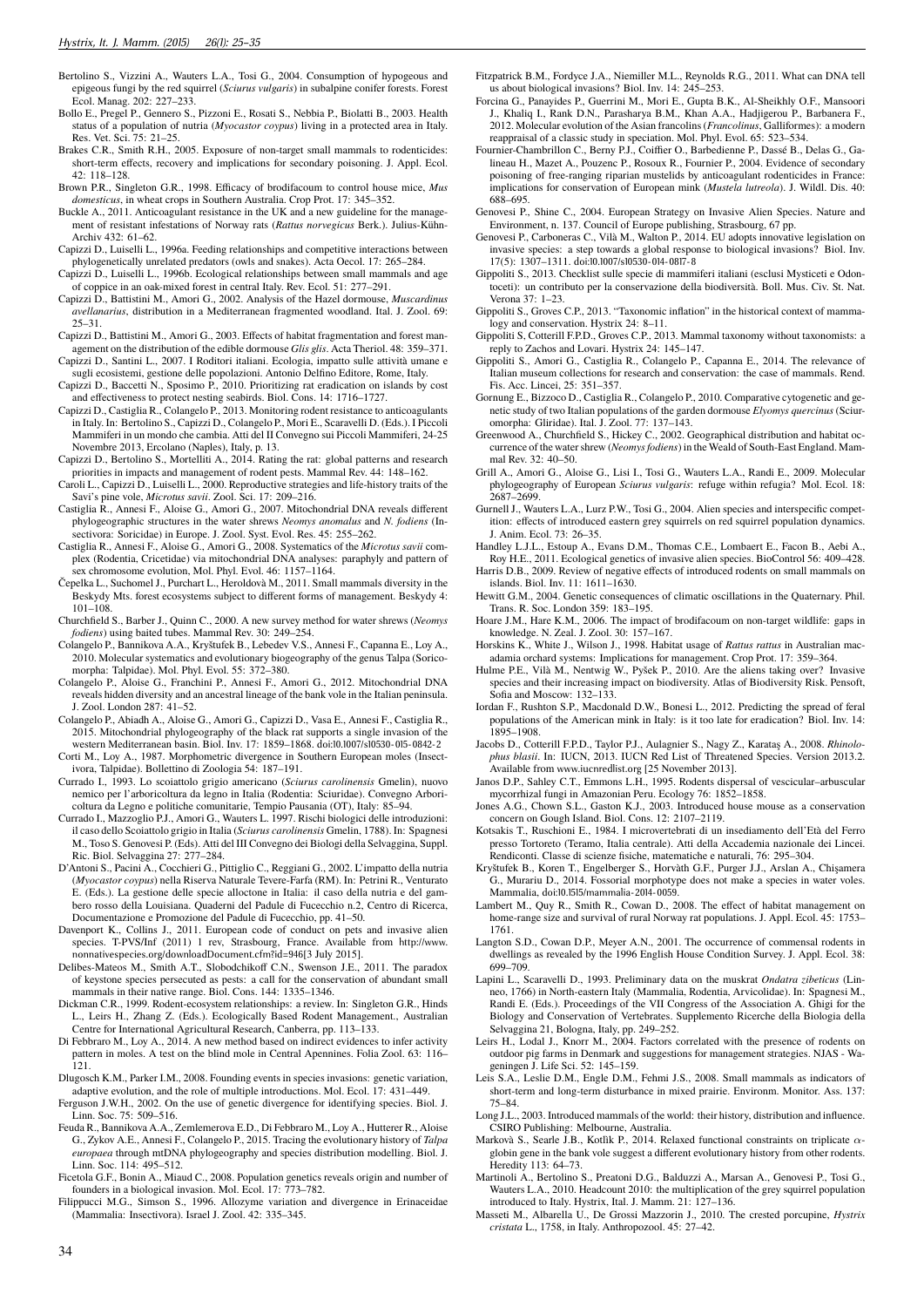- Bertolino S., Vizzini A., Wauters L.A., Tosi G., 2004. Consumption of hypogeous and epigeous fungi by the red squirrel (*Sciurus vulgaris*) in subalpine conifer forests. Forest Ecol. Manag. 202: 227–233.
- Bollo E., Pregel P., Gennero S., Pizzoni E., Rosati S., Nebbia P., Biolatti B., 2003. Health status of a population of nutria (*Myocastor coypus*) living in a protected area in Italy. Res. Vet. Sci. 75: 21–25.
- Brakes C.R., Smith R.H., 2005. Exposure of non-target small mammals to rodenticides: short-term effects, recovery and implications for secondary poisoning. J. Appl. Ecol. 42: 118–128.
- Brown P.R., Singleton G.R., 1998. Efficacy of brodifacoum to control house mice, *Mus domesticus*, in wheat crops in Southern Australia. Crop Prot. 17: 345–352.
- Buckle A., 2011. Anticoagulant resistance in the UK and a new guideline for the management of resistant infestations of Norway rats (*Rattus norvegicus* Berk.). Julius-Kühn-Archiv 432: 61–62.
- Capizzi D., Luiselli L., 1996a. Feeding relationships and competitive interactions between phylogenetically unrelated predators (owls and snakes). Acta Oecol. 17: 265–284.
- Capizzi D., Luiselli L., 1996b. Ecological relationships between small mammals and age of coppice in an oak-mixed forest in central Italy. Rev. Ecol. 51: 277–291.
- Capizzi D., Battistini M., Amori G., 2002. Analysis of the Hazel dormouse, *Muscardinus avellanarius*, distribution in a Mediterranean fragmented woodland. Ital. J. Zool. 69:  $25-31$
- Capizzi D., Battistini M., Amori G., 2003. Effects of habitat fragmentation and forest management on the distribution of the edible dormouse *Glis glis*. Acta Theriol. 48: 359–371.
- Capizzi D., Santini L., 2007. I Roditori italiani. Ecologia, impatto sulle attività umane e
- sugli ecosistemi, gestione delle popolazioni. Antonio Delfino Editore, Rome, Italy. Capizzi D., Baccetti N., Sposimo P., 2010. Prioritizing rat eradication on islands by cost and effectiveness to protect nesting seabirds. Biol. Cons. 14: 1716–1727.
- Capizzi D., Castiglia R., Colangelo P., 2013. Monitoring rodent resistance to anticoagulants in Italy. In: Bertolino S., Capizzi D., Colangelo P., Mori E., Scaravelli D. (Eds.). I Piccoli Mammiferi in un mondo che cambia. Atti del II Convegno sui Piccoli Mammiferi, 24-25 Novembre 2013, Ercolano (Naples), Italy, p. 13.
- Capizzi D., Bertolino S., Mortelliti A., 2014. Rating the rat: global patterns and research priorities in impacts and management of rodent pests. Mammal Rev. 44: 148–162.
- Caroli L., Capizzi D., Luiselli L., 2000. Reproductive strategies and life-history traits of the Savi's pine vole, *Microtus savii*. Zool. Sci. 17: 209–216.
- Castiglia R., Annesi F., Aloise G., Amori G., 2007. Mitochondrial DNA reveals different phylogeographic structures in the water shrews *Neomys anomalus* and *N. fodiens* (Insectivora: Soricidae) in Europe. J. Zool. Syst. Evol. Res. 45: 255–262.
- Castiglia R., Annesi F., Aloise G., Amori G., 2008. Systematics of the *Microtus savii* complex (Rodentia, Cricetidae) via mitochondrial DNA analyses: paraphyly and pattern of sex chromosome evolution, Mol. Phyl. Evol. 46: 1157–1164.
- Čepelka L., Suchomel J., Purchart L., Heroldovà M., 2011. Small mammals diversity in the Beskydy Mts. forest ecosystems subject to different forms of management. Beskydy 4: 101–108.
- Churchfield S., Barber J., Quinn C., 2000. A new survey method for water shrews (*Neomys fodiens*) using baited tubes. Mammal Rev. 30: 249–254.
- Colangelo P., Bannikova A.A., Kryštufek B., Lebedev V.S., Annesi F., Capanna E., Loy A., 2010. Molecular systematics and evolutionary biogeography of the genus Talpa (Soricomorpha: Talpidae). Mol. Phyl. Evol. 55: 372–380.
- Colangelo P., Aloise G., Franchini P., Annesi F., Amori G., 2012. Mitochondrial DNA reveals hidden diversity and an ancestral lineage of the bank vole in the Italian peninsula. J. Zool. London 287: 41–52.
- Colangelo P., Abiadh A., Aloise G., Amori G., Capizzi D., Vasa E., Annesi F., Castiglia R., 2015. Mitochondrial phylogeography of the black rat supports a single invasion of the western Mediterranean basin. Biol. Inv. 17: 1859–1868. doi:10.1007/s10530-015-0842-2
- Corti M., Loy A., 1987. Morphometric divergence in Southern European moles (Insectivora, Talpidae). Bollettino di Zoologia 54: 187–191.
- Currado I., 1993. Lo scoiattolo grigio americano (*Sciurus carolinensis* Gmelin), nuovo nemico per l'arboricoltura da legno in Italia (Rodentia: Sciuridae). Convegno Arboricoltura da Legno e politiche comunitarie, Tempio Pausania (OT), Italy: 85–94.
- Currado I., Mazzoglio P.J., Amori G., Wauters L. 1997. Rischi biologici delle introduzioni: il caso dello Scoiattolo grigio in Italia (*Sciurus carolinensis* Gmelin, 1788). In: Spagnesi M., Toso S. Genovesi P. (Eds). Atti del III Convegno dei Biologi della Selvaggina, Suppl. Ric. Biol. Selvaggina 27: 277–284.
- D'Antoni S., Pacini A., Cocchieri G., Pittiglio C., Reggiani G., 2002. L'impatto della nutria (*Myocastor coypus*) nella Riserva Naturale Tevere-Farfa (RM). In: Petrini R., Venturato E. (Eds.). La gestione delle specie alloctone in Italia: il caso della nutria e del gambero rosso della Louisiana. Quaderni del Padule di Fucecchio n.2, Centro di Ricerca, Documentazione e Promozione del Padule di Fucecchio, pp. 41–50.
- Davenport K., Collins J., 2011. European code of conduct on pets and invasive alien species. T-PVS/Inf (2011) 1 rev, Strasbourg, France. Available from http://www.<br>nonnativespecies.org/downloadDocument.cfm?id=946[3 July 2015].<br>Delibes-Mateos M., Smith A.T., Slobodchikoff C.N., Swenson J.E., 2011. The para
- of keystone species persecuted as pests: a call for the conservation of abundant small mammals in their native range. Biol. Cons. 144: 1335–1346.
- Dickman C.R., 1999. Rodent-ecosystem relationships: a review. In: Singleton G.R., Hinds L., Leirs H., Zhang Z. (Eds.). Ecologically Based Rodent Management., Australian Centre for International Agricultural Research, Canberra, pp. 113–133.
- Di Febbraro M., Loy A., 2014. A new method based on indirect evidences to infer activity pattern in moles. A test on the blind mole in Central Apennines. Folia Zool. 63: 116– 121.
- Dlugosch K.M., Parker I.M., 2008. Founding events in species invasions: genetic variation, adaptive evolution, and the role of multiple introductions. Mol. Ecol. 17: 431–449. Ferguson J.W.H., 2002. On the use of genetic divergence for identifying species. Biol. J.
- Linn. Soc. 75: 509–516. Feuda R., Bannikova A.A., Zemlemerova E.D., Di Febbraro M., Loy A., Hutterer R., Aloise G., Zykov A.E., Annesi F., Colangelo P., 2015. Tracing the evolutionary history of *Talpa europaea* through mtDNA phylogeography and species distribution modelling. Biol. J. Linn. Soc. 114: 495–512.
- Ficetola G.F., Bonin A., Miaud C., 2008. Population genetics reveals origin and number of founders in a biological invasion. Mol. Ecol. 17: 773–782.
- Filippucci M.G., Simson S., 1996. Allozyme variation and divergence in Erinaceidae (Mammalia: Insectivora). Israel J. Zool. 42: 335–345.
- Fitzpatrick B.M., Fordyce J.A., Niemiller M.L., Reynolds R.G., 2011. What can DNA tell us about biological invasions? Biol. Inv. 14: 245–253.
- Forcina G., Panayides P., Guerrini M., Mori E., Gupta B.K., Al-Sheikhly O.F., Mansoori J., Khaliq I., Rank D.N., Parasharya B.M., Khan A.A., Hadjigerou P., Barbanera F., 2012. Molecular evolution of the Asian francolins (*Francolinus*, Galliformes): a modern reappraisal of a classic study in speciation. Mol. Phyl. Evol. 65: 523–534.
- Fournier-Chambrillon C., Berny P.J., Coiffier O., Barbedienne P., Dassé B., Delas G., Galineau H., Mazet A., Pouzenc P., Rosoux R., Fournier P., 2004. Evidence of secondary poisoning of free-ranging riparian mustelids by anticoagulant rodenticides in France: implications for conservation of European mink (*Mustela lutreola*). J. Wildl. Dis. 40: 688–695.
- Genovesi P., Shine C., 2004. European Strategy on Invasive Alien Species. Nature and Environment, n. 137. Council of Europe publishing, Strasbourg, 67 pp.
- Genovesi P., Carboneras C., Vilà M., Walton P., 2014. EU adopts innovative legislation on invasive species: a step towards a global response to biological invasions? Biol. Inv. 17(5): 1307–1311. doi:10.1007/s10530-014-0817-8
- Gippoliti S., 2013. Checklist sulle specie di mammiferi italiani (esclusi Mysticeti e Odontoceti): un contributo per la conservazione della biodiversità. Boll. Mus. Civ. St. Nat. Verona 37: 1–23.
- Gippoliti S., Groves C.P., 2013. "Taxonomic inflation" in the historical context of mammalogy and conservation. Hystrix 24: 8–11.
- Gippoliti S, Cotterill F.P.D., Groves C.P., 2013. Mammal taxonomy without taxonomists: a reply to Zachos and Lovari. Hystrix 24: 145–147.
- Gippoliti S., Amori G., Castiglia R., Colangelo P., Capanna E., 2014. The relevance of Italian museum collections for research and conservation: the case of mammals. Rend. Fis. Acc. Lincei, 25: 351–357.
- Gornung E., Bizzoco D., Castiglia R., Colangelo P., 2010. Comparative cytogenetic and genetic study of two Italian populations of the garden dormouse *Elyomys quercinus* (Sciur-omorpha: Gliridae). Ital. J. Zool. 77: 137–143.
- Greenwood A., Churchfield S., Hickey C., 2002. Geographical distribution and habitat occurrence of the water shrew (*Neomys fodiens*) in the Weald of South-East England. Mammal Rev. 32: 40–50.
- Grill A., Amori G., Aloise G., Lisi I., Tosi G., Wauters L.A., Randi E., 2009. Molecular phylogeography of European *Sciurus vulgaris*: refuge within refugia? Mol. Ecol. 18: 2687–2699.
- Gurnell J., Wauters L.A., Lurz P.W., Tosi G., 2004. Alien species and interspecific competition: effects of introduced eastern grey squirrels on red squirrel population dynamics. J. Anim. Ecol. 73: 26–35.
- Handley L.J.L., Estoup A., Evans D.M., Thomas C.E., Lombaert E., Facon B., Aebi A., Roy H.E., 2011. Ecological genetics of invasive alien species. BioControl 56: 409–428.
- Harris D.B., 2009. Review of negative effects of introduced rodents on small mammals on islands. Biol. Inv. 11: 1611–1630.
- Hewitt G.M., 2004. Genetic consequences of climatic oscillations in the Quaternary. Phil. Trans. R. Soc. London 359: 183–195.
- Hoare J.M., Hare K.M., 2006. The impact of brodifacoum on non-target wildlife: gaps in knowledge. N. Zeal. J. Zool. 30: 157–167.
- Horskins K., White J., Wilson J., 1998. Habitat usage of *Rattus rattus* in Australian macadamia orchard systems: Implications for management. Crop Prot. 17: 359–364.
- Hulme P.E., Vilà M., Nentwig W., Pyšek P., 2010. Are the aliens taking over? Invasive species and their increasing impact on biodiversity. Atlas of Biodiversity Risk. Pensoft, Sofia and Moscow: 132–133.
- Iordan F., Rushton S.P., Macdonald D.W., Bonesi L., 2012. Predicting the spread of feral populations of the American mink in Italy: is it too late for eradication? Biol. Inv. 14: 1895–1908.
- Jacobs D., Cotterill F.P.D., Taylor P.J., Aulagnier S., Nagy Z., Karataş A., 2008. *Rhinolophus blasii*. In: IUCN, 2013. IUCN Red List of Threatened Species. Version 2013.2. Available from www.iucnredlist.org [25 November 2013].
- Janos D.P., Sahley C.T., Emmons L.H., 1995. Rodents dispersal of vescicular–arbuscular mycorrhizal fungi in Amazonian Peru. Ecology 76: 1852–1858.
- Jones A.G., Chown S.L., Gaston K.J., 2003. Introduced house mouse as a conservation concern on Gough Island. Biol. Cons. 12: 2107–2119.
- Kotsakis T., Ruschioni E., 1984. I microvertebrati di un insediamento dell'Età del Ferro presso Tortoreto (Teramo, Italia centrale). Atti della Accademia nazionale dei Lincei. Rendiconti. Classe di scienze fisiche, matematiche e naturali, 76: 295–304.
- Kryštufek B., Koren T., Engelberger S., Horvàth G.F., Purger J.J., Arslan A., Chişamera G., Murariu D., 2014. Fossorial morphotype does not make a species in water voles. Mammalia, doi:10.1515/mammalia-2014-0059.
- Lambert M., Quy R., Smith R., Cowan D., 2008. The effect of habitat management on home-range size and survival of rural Norway rat populations. J. Appl. Ecol. 45: 1753– 1761.
- Langton S.D., Cowan D.P., Meyer A.N., 2001. The occurrence of commensal rodents in dwellings as revealed by the 1996 English House Condition Survey. J. Appl. Ecol. 38: 699–709.
- Lapini L., Scaravelli D., 1993. Preliminary data on the muskrat *Ondatra zibeticus* (Linneo, 1766) in North-eastern Italy (Mammalia, Rodentia, Arvicolidae). In: Spagnesi M., Randi E. (Eds.). Proceedings of the VII Congress of the Association A. Ghigi for the Biology and Conservation of Vertebrates. Supplemento Ricerche della Biologia della Selvaggina 21, Bologna, Italy, pp. 249–252.
- Leirs H., Lodal J., Knorr M., 2004. Factors correlated with the presence of rodents on outdoor pig farms in Denmark and suggestions for management strategies. NJAS - Wageningen J. Life Sci. 52: 145–159.
- Leis S.A., Leslie D.M., Engle D.M., Fehmi J.S., 2008. Small mammals as indicators of short-term and long-term disturbance in mixed prairie. Environm. Monitor. Ass. 137: 75–84.
- Long J.L., 2003. Introduced mammals of the world: their history, distribution and influence. CSIRO Publishing: Melbourne, Australia.
- Markovà S., Searle J.B., Kotlìk P., 2014. Relaxed functional constraints on triplicate *α*globin gene in the bank vole suggest a different evolutionary history from other rodents. Heredity 113: 64–73.
- Martinoli A., Bertolino S., Preatoni D.G., Balduzzi A., Marsan A., Genovesi P., Tosi G., Wauters L.A., 2010. Headcount 2010: the multiplication of the grey squirrel population introduced to Italy. Hystrix, Ital. J. Mamm. 21: 127–136.
- Masseti M., Albarella U., De Grossi Mazzorin J., 2010. The crested porcupine, *Hystrix cristata* L., 1758, in Italy. Anthropozool. 45: 27–42.